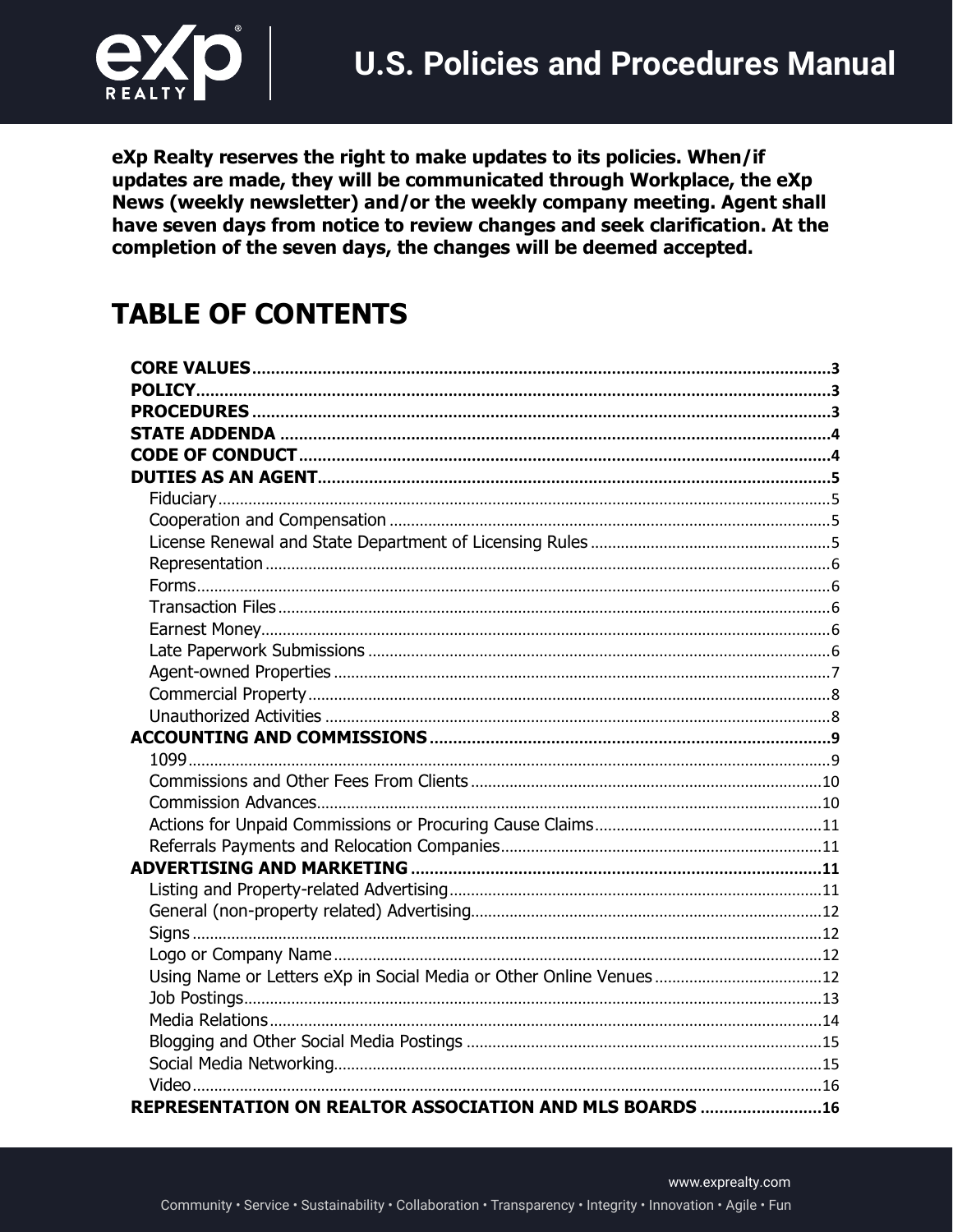

eXp Realty reserves the right to make updates to its policies. When/if updates are made, they will be communicated through Workplace, the eXp News (weekly newsletter) and/or the weekly company meeting. Agent shall have seven days from notice to review changes and seek clarification. At the completion of the seven days, the changes will be deemed accepted.

# **TABLE OF CONTENTS**

| REPRESENTATION ON REALTOR ASSOCIATION AND MLS BOARDS 16 |  |
|---------------------------------------------------------|--|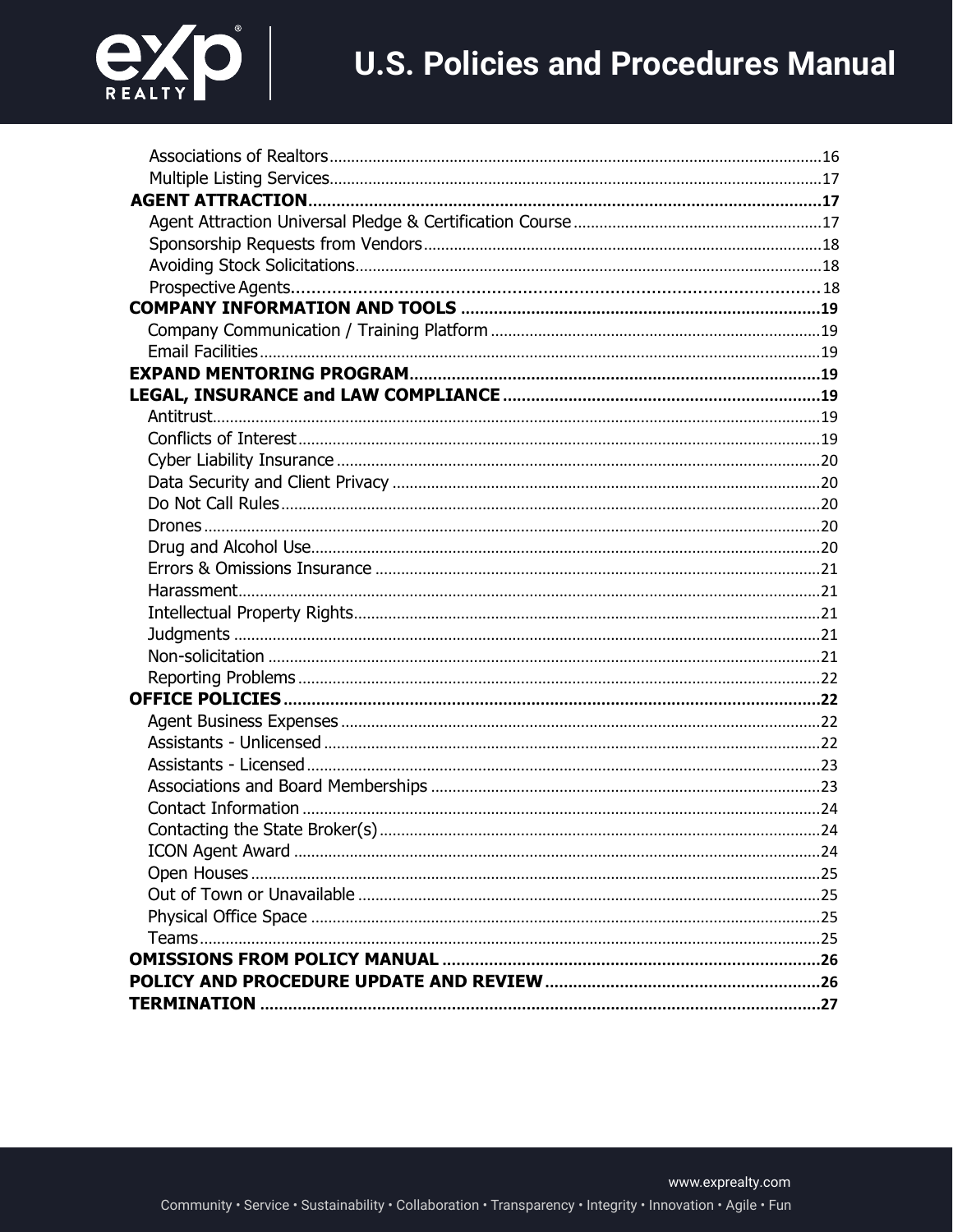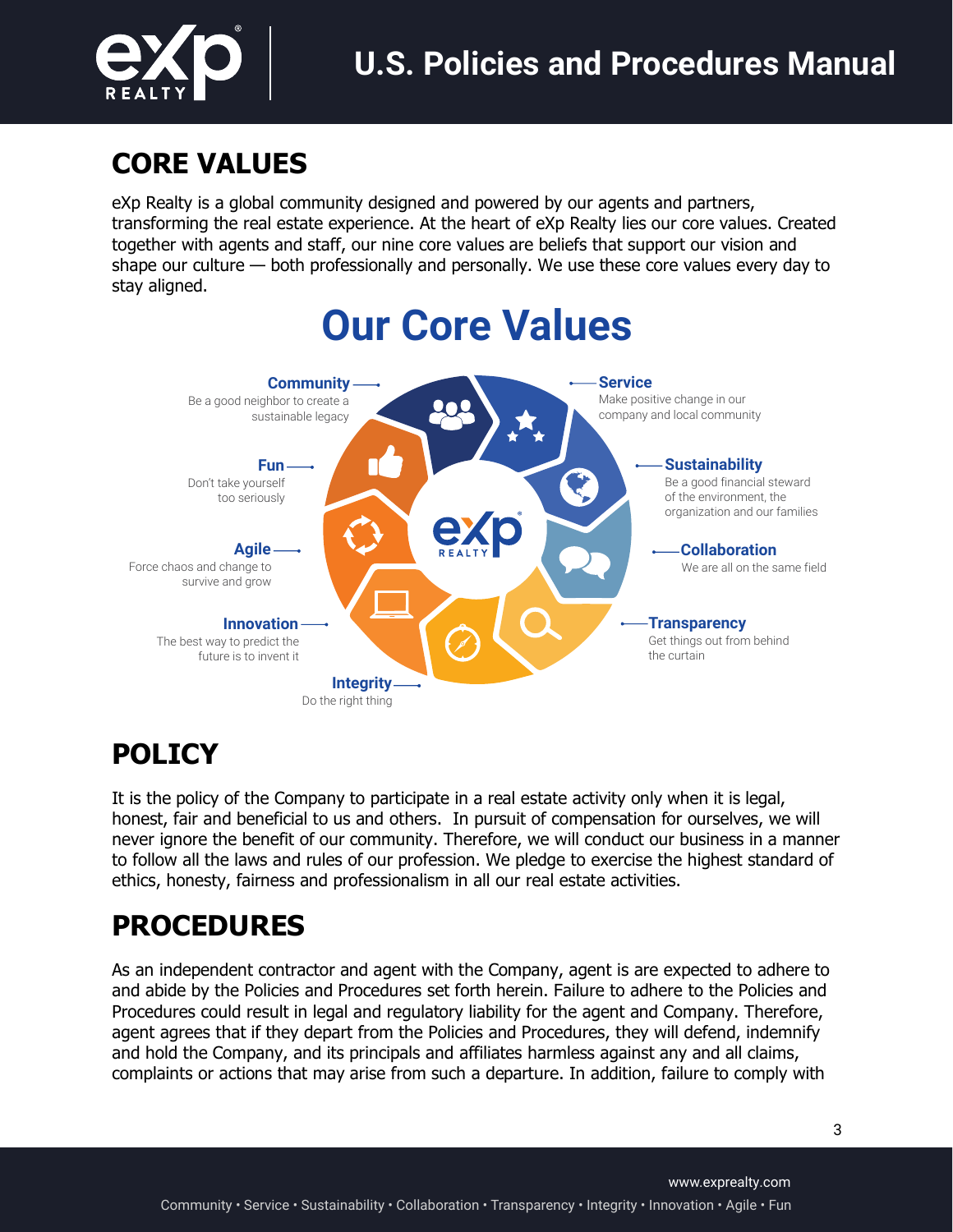

# **CORE VALUES**

eXp Realty is a global community designed and powered by our agents and partners, transforming the real estate experience. At the heart of eXp Realty lies our core values. Created together with agents and staff, our nine core values are beliefs that support our vision and shape our culture — both professionally and personally. We use these core values every day to stay aligned.



# **POLICY**

It is the policy of the Company to participate in a real estate activity only when it is legal, honest, fair and beneficial to us and others. In pursuit of compensation for ourselves, we will never ignore the benefit of our community. Therefore, we will conduct our business in a manner to follow all the laws and rules of our profession. We pledge to exercise the highest standard of ethics, honesty, fairness and professionalism in all our real estate activities.

# **PROCEDURES**

As an independent contractor and agent with the Company, agent is are expected to adhere to and abide by the Policies and Procedures set forth herein. Failure to adhere to the Policies and Procedures could result in legal and regulatory liability for the agent and Company. Therefore, agent agrees that if they depart from the Policies and Procedures, they will defend, indemnify and hold the Company, and its principals and affiliates harmless against any and all claims, complaints or actions that may arise from such a departure. In addition, failure to comply with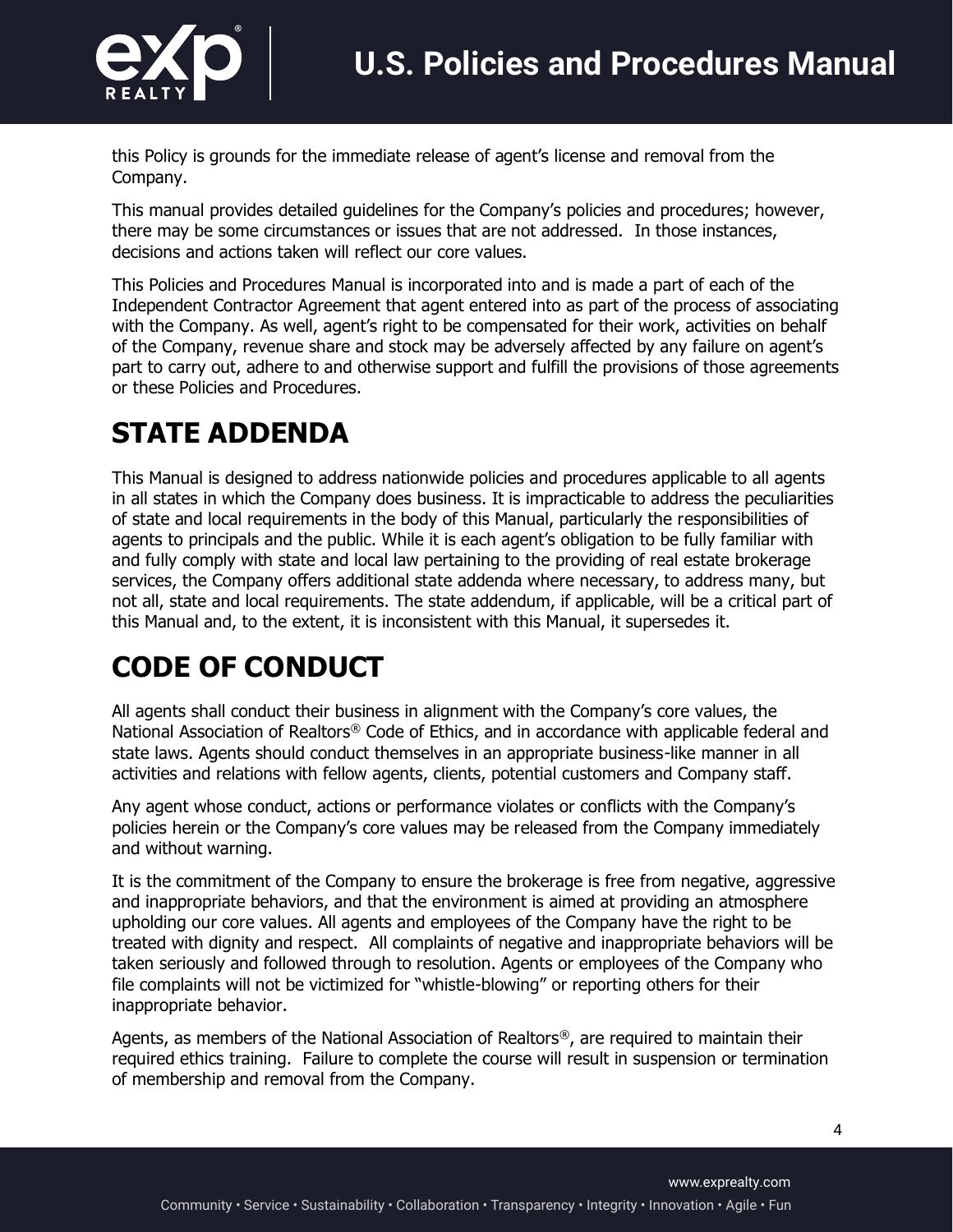

this Policy is grounds for the immediate release of agent's license and removal from the Company.

This manual provides detailed guidelines for the Company's policies and procedures; however, there may be some circumstances or issues that are not addressed. In those instances, decisions and actions taken will reflect our core values.

This Policies and Procedures Manual is incorporated into and is made a part of each of the Independent Contractor Agreement that agent entered into as part of the process of associating with the Company. As well, agent's right to be compensated for their work, activities on behalf of the Company, revenue share and stock may be adversely affected by any failure on agent's part to carry out, adhere to and otherwise support and fulfill the provisions of those agreements or these Policies and Procedures.

# **STATE ADDENDA**

This Manual is designed to address nationwide policies and procedures applicable to all agents in all states in which the Company does business. It is impracticable to address the peculiarities of state and local requirements in the body of this Manual, particularly the responsibilities of agents to principals and the public. While it is each agent's obligation to be fully familiar with and fully comply with state and local law pertaining to the providing of real estate brokerage services, the Company offers additional state addenda where necessary, to address many, but not all, state and local requirements. The state addendum, if applicable, will be a critical part of this Manual and, to the extent, it is inconsistent with this Manual, it supersedes it.

# **CODE OF CONDUCT**

All agents shall conduct their business in alignment with the Company's core values, the National Association of Realtors® Code of Ethics, and in accordance with applicable federal and state laws. Agents should conduct themselves in an appropriate business-like manner in all activities and relations with fellow agents, clients, potential customers and Company staff.

Any agent whose conduct, actions or performance violates or conflicts with the Company's policies herein or the Company's core values may be released from the Company immediately and without warning.

It is the commitment of the Company to ensure the brokerage is free from negative, aggressive and inappropriate behaviors, and that the environment is aimed at providing an atmosphere upholding our core values. All agents and employees of the Company have the right to be treated with dignity and respect. All complaints of negative and inappropriate behaviors will be taken seriously and followed through to resolution. Agents or employees of the Company who file complaints will not be victimized for "whistle-blowing" or reporting others for their inappropriate behavior.

Agents, as members of the National Association of Realtors®, are required to maintain their required ethics training. Failure to complete the course will result in suspension or termination of membership and removal from the Company.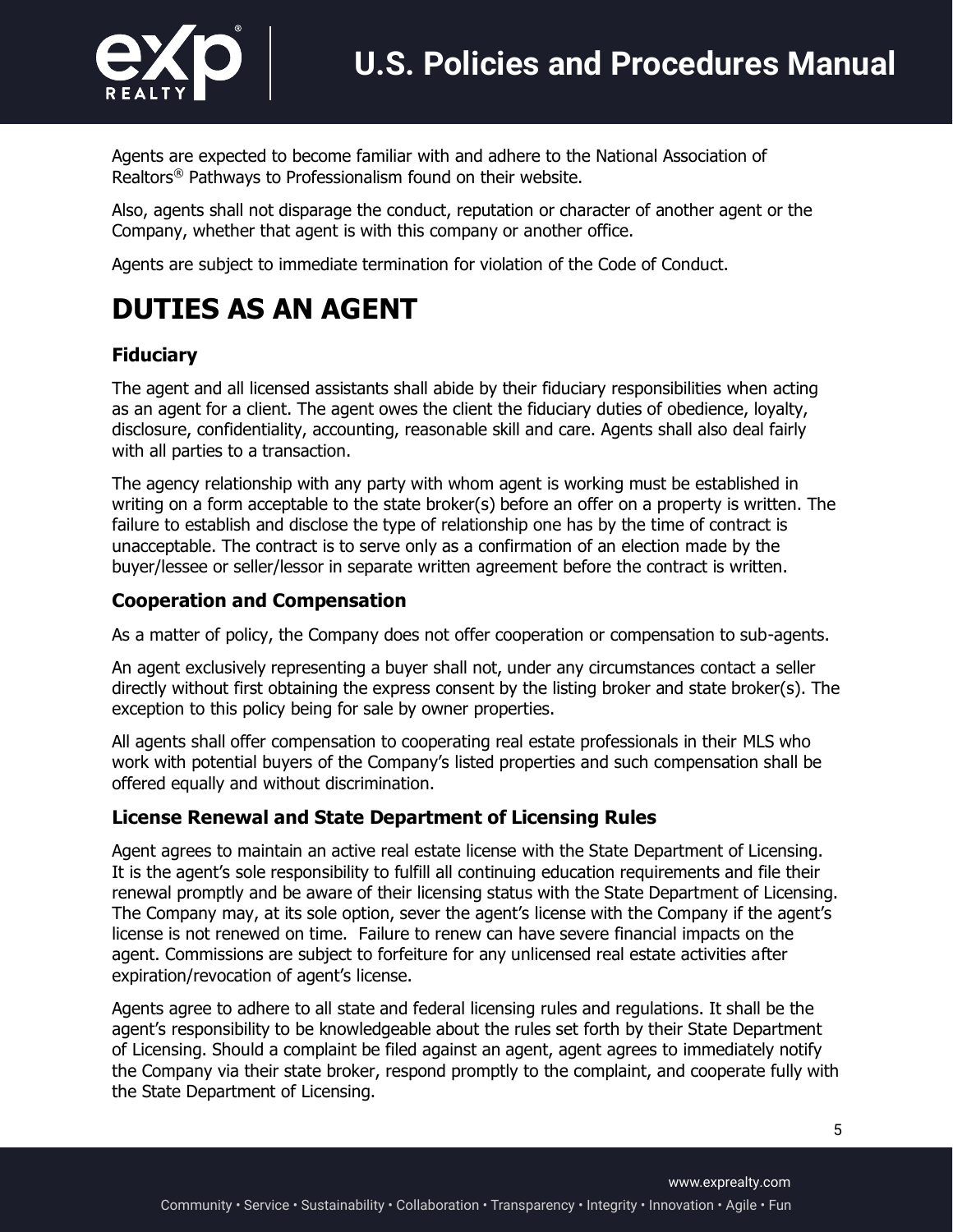

Agents are expected to become familiar with and adhere to the National Association of Realtors® Pathways to Professionalism found on their website.

Also, agents shall not disparage the conduct, reputation or character of another agent or the Company, whether that agent is with this company or another office.

Agents are subject to immediate termination for violation of the Code of Conduct.

# **DUTIES AS AN AGENT**

### **Fiduciary**

The agent and all licensed assistants shall abide by their fiduciary responsibilities when acting as an agent for a client. The agent owes the client the fiduciary duties of obedience, loyalty, disclosure, confidentiality, accounting, reasonable skill and care. Agents shall also deal fairly with all parties to a transaction.

The agency relationship with any party with whom agent is working must be established in writing on a form acceptable to the state broker(s) before an offer on a property is written. The failure to establish and disclose the type of relationship one has by the time of contract is unacceptable. The contract is to serve only as a confirmation of an election made by the buyer/lessee or seller/lessor in separate written agreement before the contract is written.

### **Cooperation and Compensation**

As a matter of policy, the Company does not offer cooperation or compensation to sub-agents.

An agent exclusively representing a buyer shall not, under any circumstances contact a seller directly without first obtaining the express consent by the listing broker and state broker(s). The exception to this policy being for sale by owner properties.

All agents shall offer compensation to cooperating real estate professionals in their MLS who work with potential buyers of the Company's listed properties and such compensation shall be offered equally and without discrimination.

#### **License Renewal and State Department of Licensing Rules**

Agent agrees to maintain an active real estate license with the State Department of Licensing. It is the agent's sole responsibility to fulfill all continuing education requirements and file their renewal promptly and be aware of their licensing status with the State Department of Licensing. The Company may, at its sole option, sever the agent's license with the Company if the agent's license is not renewed on time. Failure to renew can have severe financial impacts on the agent. Commissions are subject to forfeiture for any unlicensed real estate activities after expiration/revocation of agent's license.

Agents agree to adhere to all state and federal licensing rules and regulations. It shall be the agent's responsibility to be knowledgeable about the rules set forth by their State Department of Licensing. Should a complaint be filed against an agent, agent agrees to immediately notify the Company via their state broker, respond promptly to the complaint, and cooperate fully with the State Department of Licensing.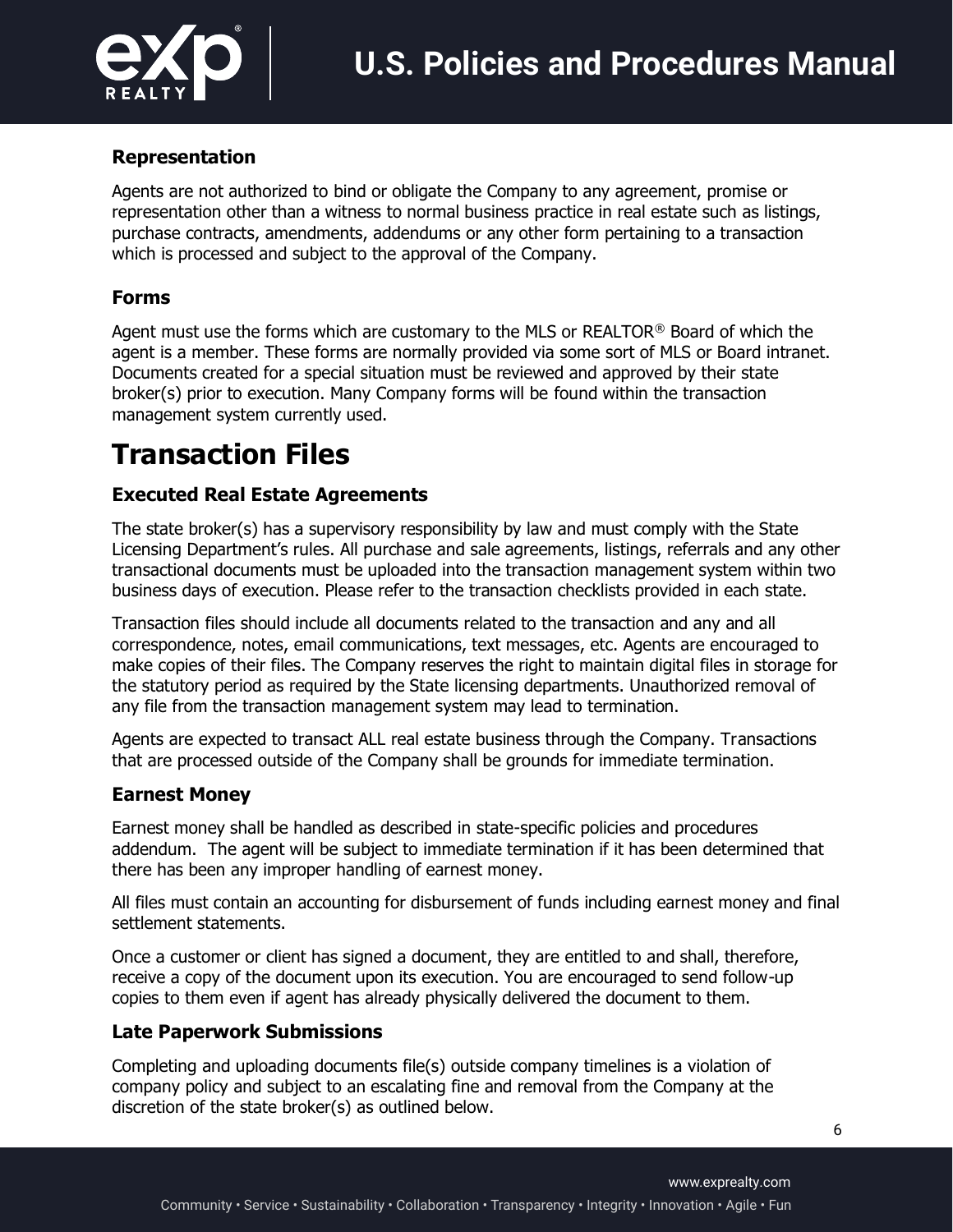

#### **Representation**

Agents are not authorized to bind or obligate the Company to any agreement, promise or representation other than a witness to normal business practice in real estate such as listings, purchase contracts, amendments, addendums or any other form pertaining to a transaction which is processed and subject to the approval of the Company.

#### **Forms**

Agent must use the forms which are customary to the MLS or REALTOR® Board of which the agent is a member. These forms are normally provided via some sort of MLS or Board intranet. Documents created for a special situation must be reviewed and approved by their state broker(s) prior to execution. Many Company forms will be found within the transaction management system currently used.

# **Transaction Files**

### **Executed Real Estate Agreements**

The state broker(s) has a supervisory responsibility by law and must comply with the State Licensing Department's rules. All purchase and sale agreements, listings, referrals and any other transactional documents must be uploaded into the transaction management system within two business days of execution. Please refer to the transaction checklists provided in each state.

Transaction files should include all documents related to the transaction and any and all correspondence, notes, email communications, text messages, etc. Agents are encouraged to make copies of their files. The Company reserves the right to maintain digital files in storage for the statutory period as required by the State licensing departments. Unauthorized removal of any file from the transaction management system may lead to termination.

Agents are expected to transact ALL real estate business through the Company. Transactions that are processed outside of the Company shall be grounds for immediate termination.

#### **Earnest Money**

Earnest money shall be handled as described in state-specific policies and procedures addendum. The agent will be subject to immediate termination if it has been determined that there has been any improper handling of earnest money.

All files must contain an accounting for disbursement of funds including earnest money and final settlement statements.

Once a customer or client has signed a document, they are entitled to and shall, therefore, receive a copy of the document upon its execution. You are encouraged to send follow-up copies to them even if agent has already physically delivered the document to them.

#### **Late Paperwork Submissions**

Completing and uploading documents file(s) outside company timelines is a violation of company policy and subject to an escalating fine and removal from the Company at the discretion of the state broker(s) as outlined below.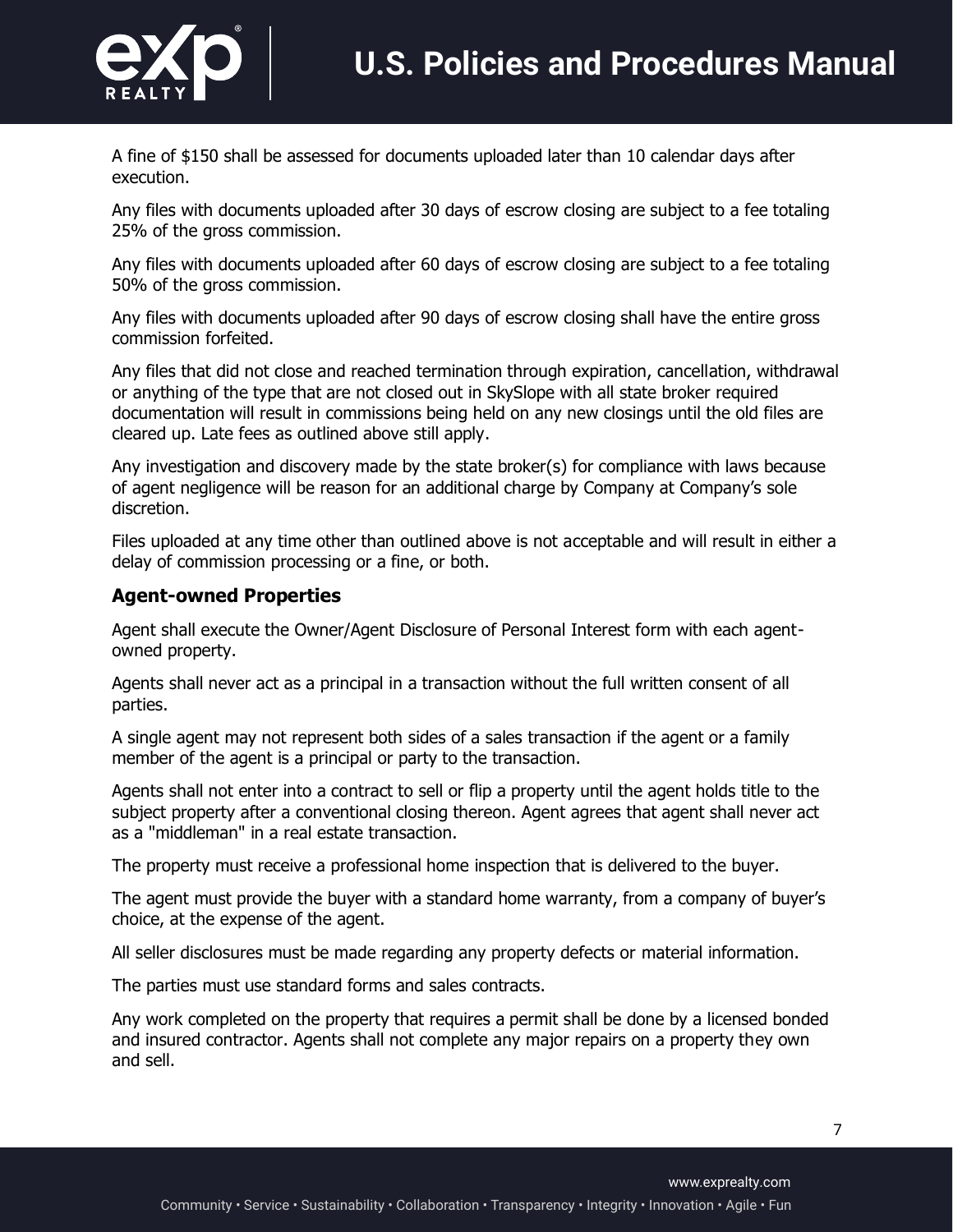

A fine of \$150 shall be assessed for documents uploaded later than 10 calendar days after execution.

Any files with documents uploaded after 30 days of escrow closing are subject to a fee totaling 25% of the gross commission.

Any files with documents uploaded after 60 days of escrow closing are subject to a fee totaling 50% of the gross commission.

Any files with documents uploaded after 90 days of escrow closing shall have the entire gross commission forfeited.

Any files that did not close and reached termination through expiration, cancellation, withdrawal or anything of the type that are not closed out in SkySlope with all state broker required documentation will result in commissions being held on any new closings until the old files are cleared up. Late fees as outlined above still apply.

Any investigation and discovery made by the state broker(s) for compliance with laws because of agent negligence will be reason for an additional charge by Company at Company's sole discretion.

Files uploaded at any time other than outlined above is not acceptable and will result in either a delay of commission processing or a fine, or both.

### **Agent-owned Properties**

Agent shall execute the Owner/Agent Disclosure of Personal Interest form with each agentowned property.

Agents shall never act as a principal in a transaction without the full written consent of all parties.

A single agent may not represent both sides of a sales transaction if the agent or a family member of the agent is a principal or party to the transaction.

Agents shall not enter into a contract to sell or flip a property until the agent holds title to the subject property after a conventional closing thereon. Agent agrees that agent shall never act as a "middleman" in a real estate transaction.

The property must receive a professional home inspection that is delivered to the buyer.

The agent must provide the buyer with a standard home warranty, from a company of buyer's choice, at the expense of the agent.

All seller disclosures must be made regarding any property defects or material information.

The parties must use standard forms and sales contracts.

Any work completed on the property that requires a permit shall be done by a licensed bonded and insured contractor. Agents shall not complete any major repairs on a property they own and sell.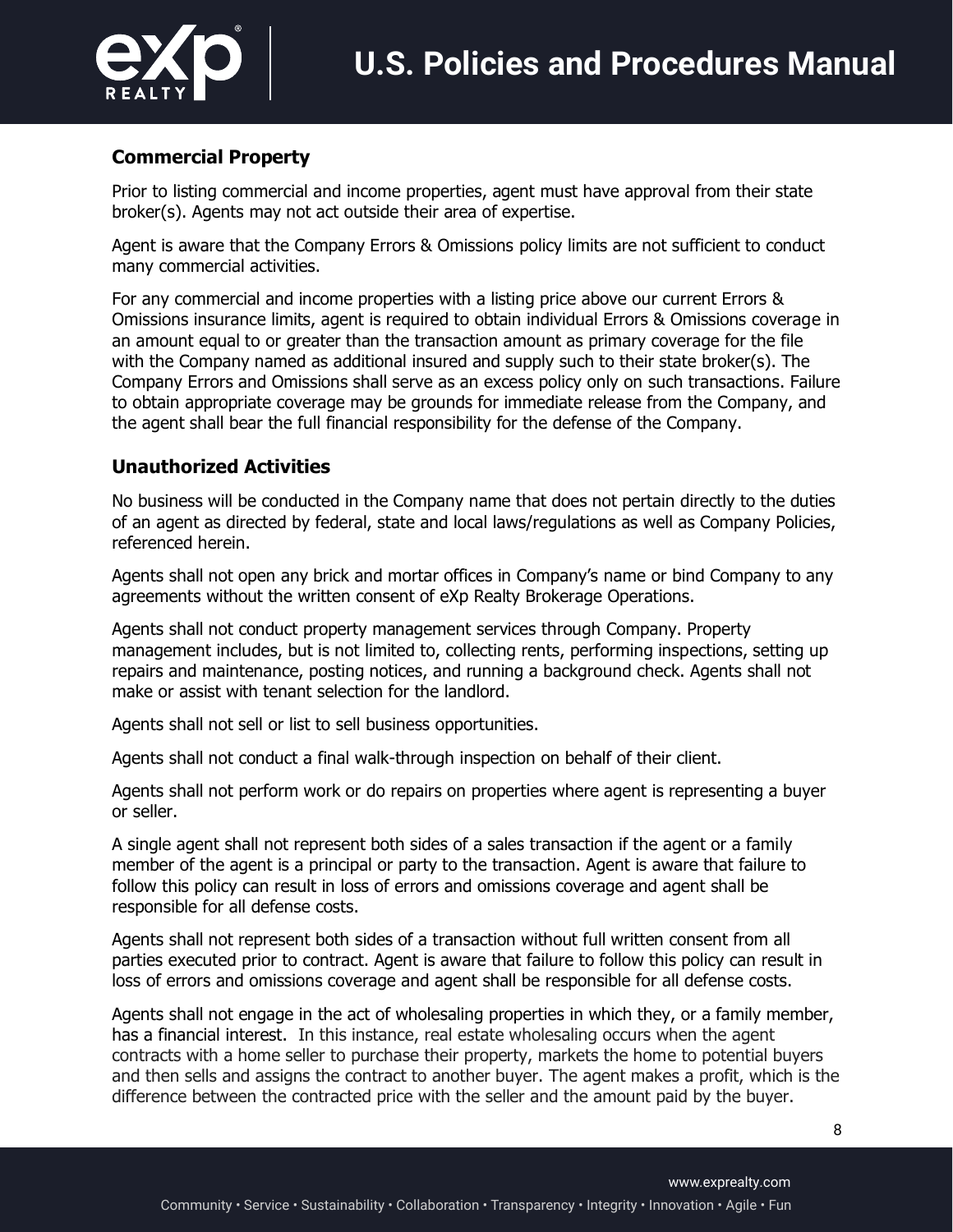

### **Commercial Property**

Prior to listing commercial and income properties, agent must have approval from their state broker(s). Agents may not act outside their area of expertise.

Agent is aware that the Company Errors & Omissions policy limits are not sufficient to conduct many commercial activities.

For any commercial and income properties with a listing price above our current Errors & Omissions insurance limits, agent is required to obtain individual Errors & Omissions coverage in an amount equal to or greater than the transaction amount as primary coverage for the file with the Company named as additional insured and supply such to their state broker(s). The Company Errors and Omissions shall serve as an excess policy only on such transactions. Failure to obtain appropriate coverage may be grounds for immediate release from the Company, and the agent shall bear the full financial responsibility for the defense of the Company.

### **Unauthorized Activities**

No business will be conducted in the Company name that does not pertain directly to the duties of an agent as directed by federal, state and local laws/regulations as well as Company Policies, referenced herein.

Agents shall not open any brick and mortar offices in Company's name or bind Company to any agreements without the written consent of eXp Realty Brokerage Operations.

Agents shall not conduct property management services through Company. Property management includes, but is not limited to, collecting rents, performing inspections, setting up repairs and maintenance, posting notices, and running a background check. Agents shall not make or assist with tenant selection for the landlord.

Agents shall not sell or list to sell business opportunities.

Agents shall not conduct a final walk-through inspection on behalf of their client.

Agents shall not perform work or do repairs on properties where agent is representing a buyer or seller.

A single agent shall not represent both sides of a sales transaction if the agent or a family member of the agent is a principal or party to the transaction. Agent is aware that failure to follow this policy can result in loss of errors and omissions coverage and agent shall be responsible for all defense costs.

Agents shall not represent both sides of a transaction without full written consent from all parties executed prior to contract. Agent is aware that failure to follow this policy can result in loss of errors and omissions coverage and agent shall be responsible for all defense costs.

Agents shall not engage in the act of wholesaling properties in which they, or a family member, has a financial interest. In this instance, real estate wholesaling occurs when the agent contracts with a home seller to purchase their property, markets the home to potential buyers and then sells and assigns the contract to another buyer. The agent makes a profit, which is the difference between the contracted price with the seller and the amount paid by the buyer.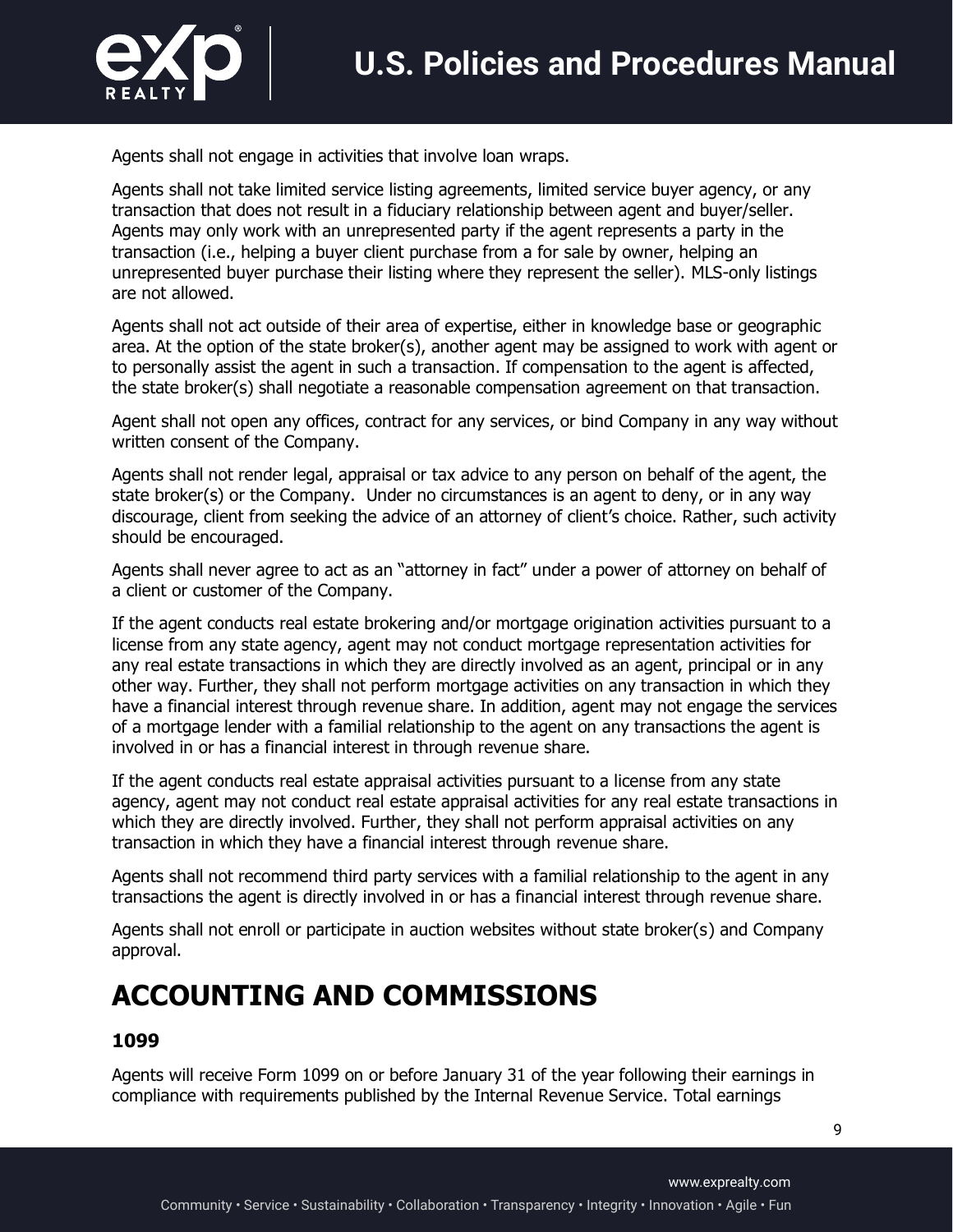

Agents shall not engage in activities that involve loan wraps.

Agents shall not take limited service listing agreements, limited service buyer agency, or any transaction that does not result in a fiduciary relationship between agent and buyer/seller. Agents may only work with an unrepresented party if the agent represents a party in the transaction (i.e., helping a buyer client purchase from a for sale by owner, helping an unrepresented buyer purchase their listing where they represent the seller). MLS-only listings are not allowed.

Agents shall not act outside of their area of expertise, either in knowledge base or geographic area. At the option of the state broker(s), another agent may be assigned to work with agent or to personally assist the agent in such a transaction. If compensation to the agent is affected, the state broker(s) shall negotiate a reasonable compensation agreement on that transaction.

Agent shall not open any offices, contract for any services, or bind Company in any way without written consent of the Company.

Agents shall not render legal, appraisal or tax advice to any person on behalf of the agent, the state broker(s) or the Company. Under no circumstances is an agent to deny, or in any way discourage, client from seeking the advice of an attorney of client's choice. Rather, such activity should be encouraged.

Agents shall never agree to act as an "attorney in fact" under a power of attorney on behalf of a client or customer of the Company.

If the agent conducts real estate brokering and/or mortgage origination activities pursuant to a license from any state agency, agent may not conduct mortgage representation activities for any real estate transactions in which they are directly involved as an agent, principal or in any other way. Further, they shall not perform mortgage activities on any transaction in which they have a financial interest through revenue share. In addition, agent may not engage the services of a mortgage lender with a familial relationship to the agent on any transactions the agent is involved in or has a financial interest in through revenue share.

If the agent conducts real estate appraisal activities pursuant to a license from any state agency, agent may not conduct real estate appraisal activities for any real estate transactions in which they are directly involved. Further, they shall not perform appraisal activities on any transaction in which they have a financial interest through revenue share.

Agents shall not recommend third party services with a familial relationship to the agent in any transactions the agent is directly involved in or has a financial interest through revenue share.

Agents shall not enroll or participate in auction websites without state broker(s) and Company approval.

# **ACCOUNTING AND COMMISSIONS**

#### **1099**

Agents will receive Form 1099 on or before January 31 of the year following their earnings in compliance with requirements published by the Internal Revenue Service. Total earnings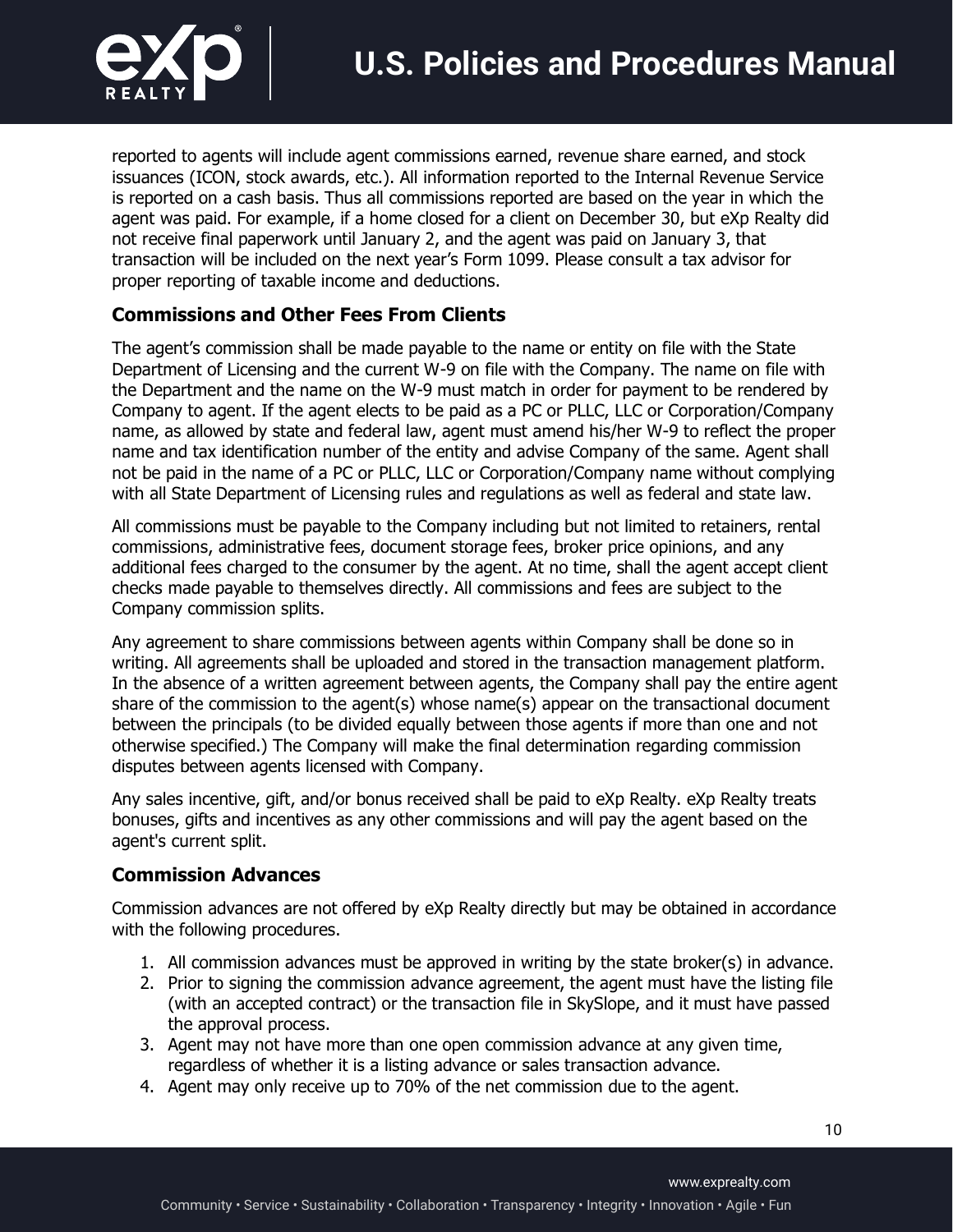

reported to agents will include agent commissions earned, revenue share earned, and stock issuances (ICON, stock awards, etc.). All information reported to the Internal Revenue Service is reported on a cash basis. Thus all commissions reported are based on the year in which the agent was paid. For example, if a home closed for a client on December 30, but eXp Realty did not receive final paperwork until January 2, and the agent was paid on January 3, that transaction will be included on the next year's Form 1099. Please consult a tax advisor for proper reporting of taxable income and deductions.

### **Commissions and Other Fees From Clients**

The agent's commission shall be made payable to the name or entity on file with the State Department of Licensing and the current W-9 on file with the Company. The name on file with the Department and the name on the W-9 must match in order for payment to be rendered by Company to agent. If the agent elects to be paid as a PC or PLLC, LLC or Corporation/Company name, as allowed by state and federal law, agent must amend his/her W-9 to reflect the proper name and tax identification number of the entity and advise Company of the same. Agent shall not be paid in the name of a PC or PLLC, LLC or Corporation/Company name without complying with all State Department of Licensing rules and regulations as well as federal and state law.

All commissions must be payable to the Company including but not limited to retainers, rental commissions, administrative fees, document storage fees, broker price opinions, and any additional fees charged to the consumer by the agent. At no time, shall the agent accept client checks made payable to themselves directly. All commissions and fees are subject to the Company commission splits.

Any agreement to share commissions between agents within Company shall be done so in writing. All agreements shall be uploaded and stored in the transaction management platform. In the absence of a written agreement between agents, the Company shall pay the entire agent share of the commission to the agent(s) whose name(s) appear on the transactional document between the principals (to be divided equally between those agents if more than one and not otherwise specified.) The Company will make the final determination regarding commission disputes between agents licensed with Company.

Any sales incentive, gift, and/or bonus received shall be paid to eXp Realty. eXp Realty treats bonuses, gifts and incentives as any other commissions and will pay the agent based on the agent's current split.

### **Commission Advances**

Commission advances are not offered by eXp Realty directly but may be obtained in accordance with the following procedures.

- 1. All commission advances must be approved in writing by the state broker(s) in advance.
- 2. Prior to signing the commission advance agreement, the agent must have the listing file (with an accepted contract) or the transaction file in SkySlope, and it must have passed the approval process.
- 3. Agent may not have more than one open commission advance at any given time, regardless of whether it is a listing advance or sales transaction advance.
- 4. Agent may only receive up to 70% of the net commission due to the agent.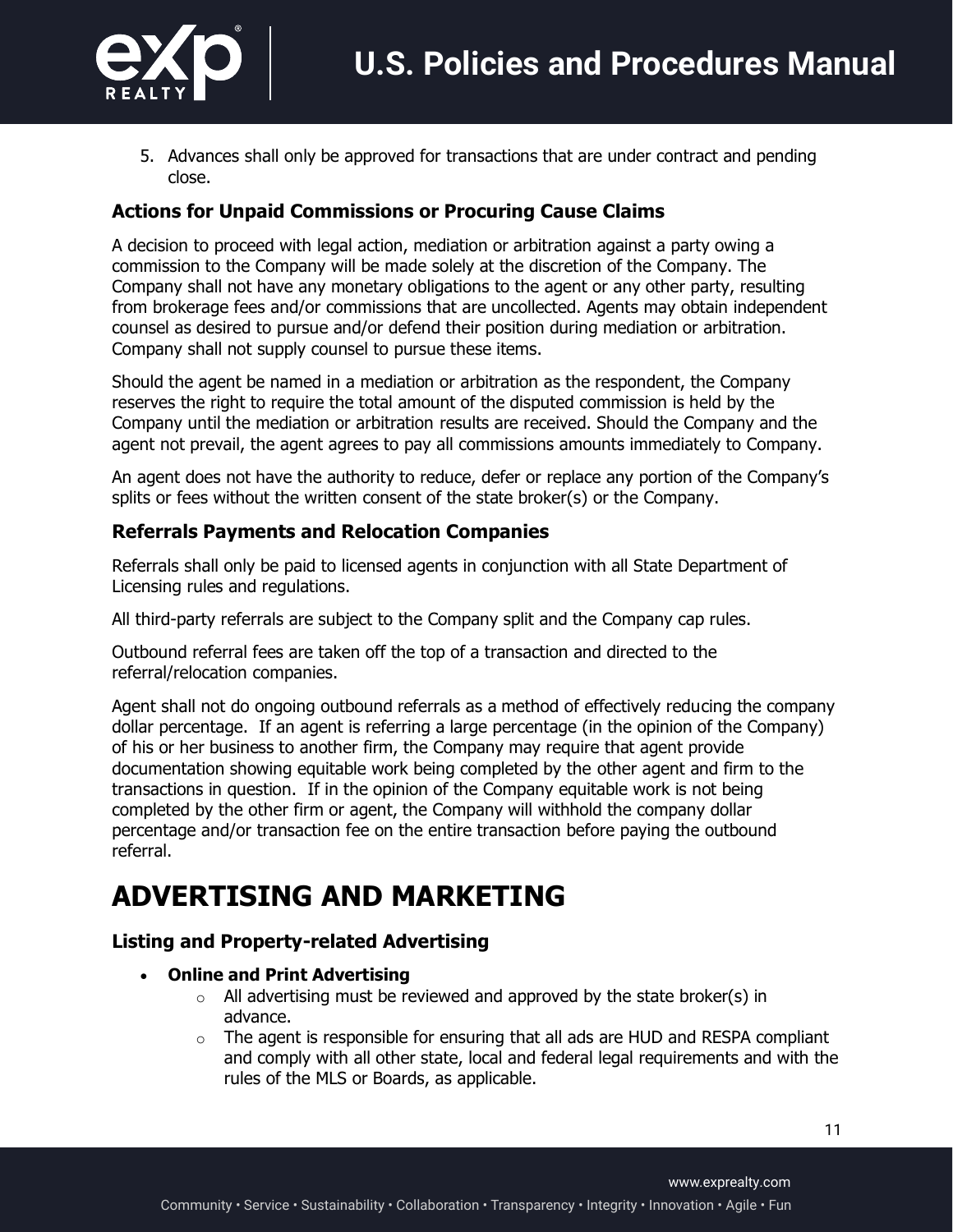

5. Advances shall only be approved for transactions that are under contract and pending close.

### **Actions for Unpaid Commissions or Procuring Cause Claims**

A decision to proceed with legal action, mediation or arbitration against a party owing a commission to the Company will be made solely at the discretion of the Company. The Company shall not have any monetary obligations to the agent or any other party, resulting from brokerage fees and/or commissions that are uncollected. Agents may obtain independent counsel as desired to pursue and/or defend their position during mediation or arbitration. Company shall not supply counsel to pursue these items.

Should the agent be named in a mediation or arbitration as the respondent, the Company reserves the right to require the total amount of the disputed commission is held by the Company until the mediation or arbitration results are received. Should the Company and the agent not prevail, the agent agrees to pay all commissions amounts immediately to Company.

An agent does not have the authority to reduce, defer or replace any portion of the Company's splits or fees without the written consent of the state broker(s) or the Company.

### **Referrals Payments and Relocation Companies**

Referrals shall only be paid to licensed agents in conjunction with all State Department of Licensing rules and regulations.

All third-party referrals are subject to the Company split and the Company cap rules.

Outbound referral fees are taken off the top of a transaction and directed to the referral/relocation companies.

Agent shall not do ongoing outbound referrals as a method of effectively reducing the company dollar percentage. If an agent is referring a large percentage (in the opinion of the Company) of his or her business to another firm, the Company may require that agent provide documentation showing equitable work being completed by the other agent and firm to the transactions in question. If in the opinion of the Company equitable work is not being completed by the other firm or agent, the Company will withhold the company dollar percentage and/or transaction fee on the entire transaction before paying the outbound referral.

### **ADVERTISING AND MARKETING**

### **Listing and Property-related Advertising**

- **Online and Print Advertising**
	- $\circ$  All advertising must be reviewed and approved by the state broker(s) in advance.
	- $\circ$  The agent is responsible for ensuring that all ads are HUD and RESPA compliant and comply with all other state, local and federal legal requirements and with the rules of the MLS or Boards, as applicable.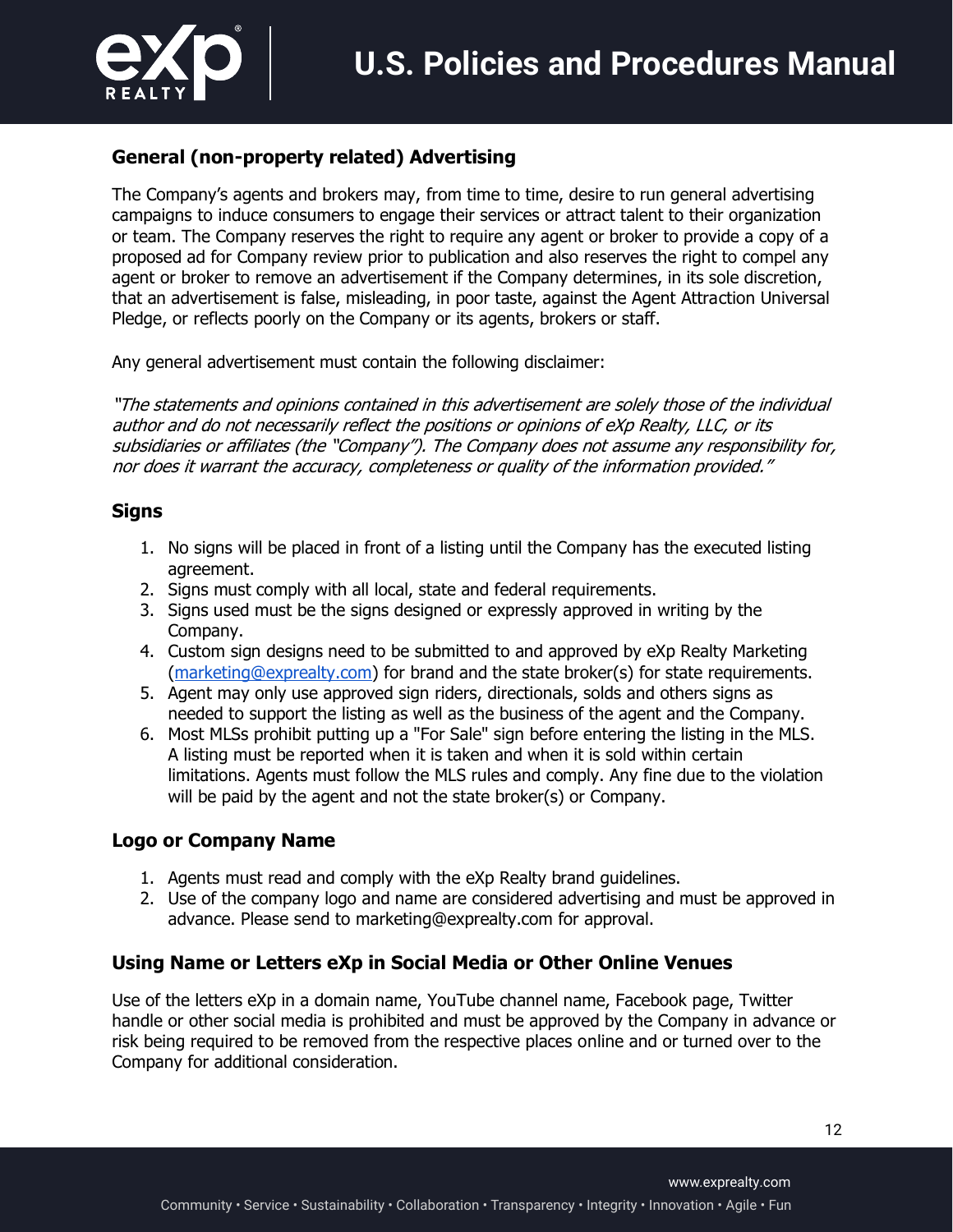

### **General (non-property related) Advertising**

The Company's agents and brokers may, from time to time, desire to run general advertising campaigns to induce consumers to engage their services or attract talent to their organization or team. The Company reserves the right to require any agent or broker to provide a copy of a proposed ad for Company review prior to publication and also reserves the right to compel any agent or broker to remove an advertisement if the Company determines, in its sole discretion, that an advertisement is false, misleading, in poor taste, against the Agent Attraction Universal Pledge, or reflects poorly on the Company or its agents, brokers or staff.

Any general advertisement must contain the following disclaimer:

"The statements and opinions contained in this advertisement are solely those of the individual author and do not necessarily reflect the positions or opinions of eXp Realty, LLC, or its subsidiaries or affiliates (the "Company"). The Company does not assume any responsibility for, nor does it warrant the accuracy, completeness or quality of the information provided."

#### **Signs**

- 1. No signs will be placed in front of a listing until the Company has the executed listing agreement.
- 2. Signs must comply with all local, state and federal requirements.
- 3. Signs used must be the signs designed or expressly approved in writing by the Company.
- 4. Custom sign designs need to be submitted to and approved by eXp Realty Marketing (marketing@exprealty.com) for brand and the state broker(s) for state requirements.
- 5. Agent may only use approved sign riders, directionals, solds and others signs as needed to support the listing as well as the business of the agent and the Company.
- 6. Most MLSs prohibit putting up a "For Sale" sign before entering the listing in the MLS. A listing must be reported when it is taken and when it is sold within certain limitations. Agents must follow the MLS rules and comply. Any fine due to the violation will be paid by the agent and not the state broker(s) or Company.

### **Logo or Company Name**

- 1. Agents must read and comply with the eXp Realty brand guidelines.
- 2. Use of the company logo and name are considered advertising and must be approved in advance. Please send to marketing@exprealty.com for approval.

### **Using Name or Letters eXp in Social Media or Other Online Venues**

Use of the letters eXp in a domain name, YouTube channel name, Facebook page, Twitter handle or other social media is prohibited and must be approved by the Company in advance or risk being required to be removed from the respective places online and or turned over to the Company for additional consideration.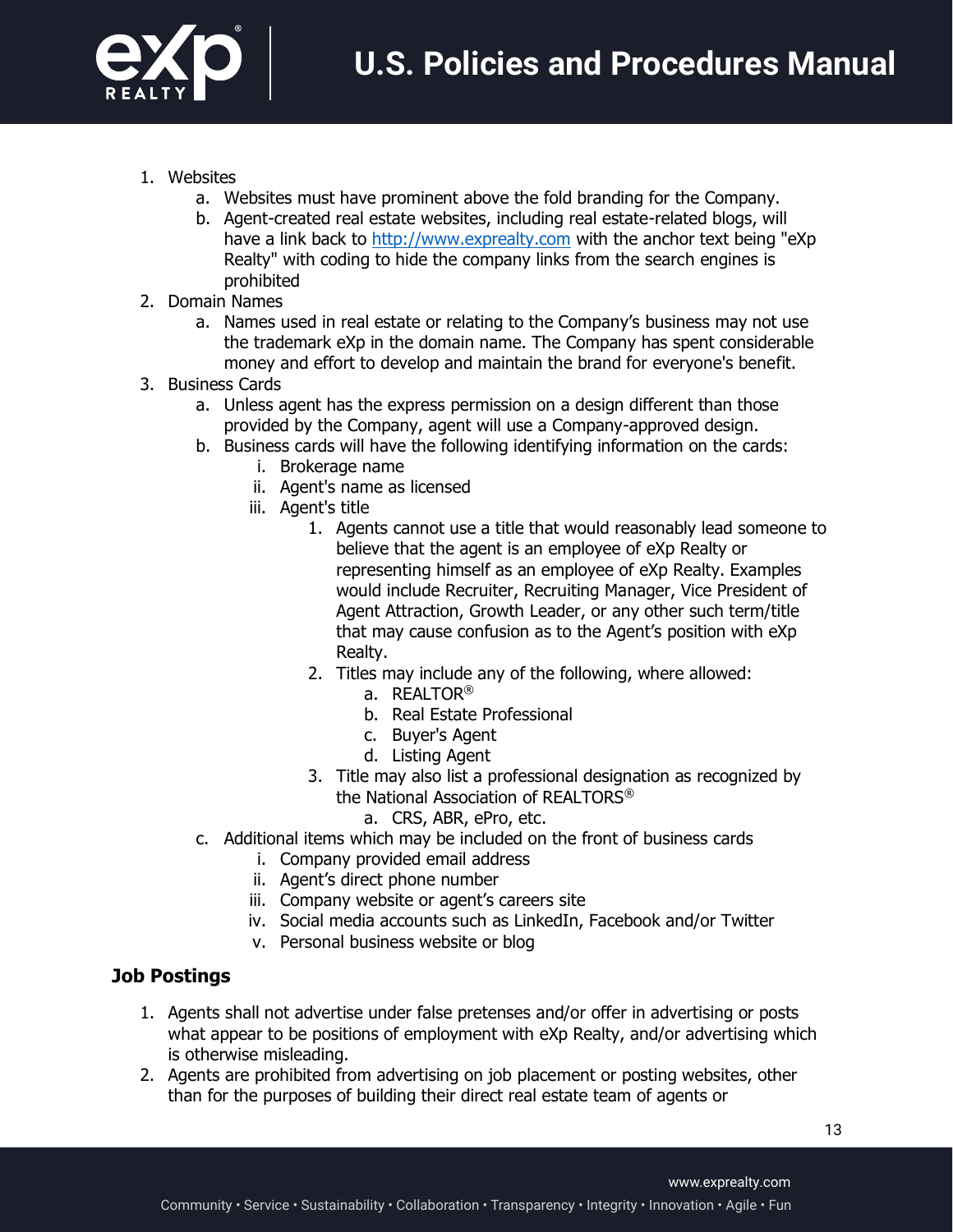

- 1. Websites
	- a. Websites must have prominent above the fold branding for the Company.
	- b. Agent-created real estate websites, including real estate-related blogs, will have a link back to http://www.exprealty.com with the anchor text being "eXp Realty" with coding to hide the company links from the search engines is prohibited
- 2. Domain Names
	- a. Names used in real estate or relating to the Company's business may not use the trademark eXp in the domain name. The Company has spent considerable money and effort to develop and maintain the brand for everyone's benefit.
- 3. Business Cards
	- a. Unless agent has the express permission on a design different than those provided by the Company, agent will use a Company-approved design.
	- b. Business cards will have the following identifying information on the cards:
		- i. Brokerage name
		- ii. Agent's name as licensed
		- iii. Agent's title
			- 1. Agents cannot use a title that would reasonably lead someone to believe that the agent is an employee of eXp Realty or representing himself as an employee of eXp Realty. Examples would include Recruiter, Recruiting Manager, Vice President of Agent Attraction, Growth Leader, or any other such term/title that may cause confusion as to the Agent's position with eXp Realty.
			- 2. Titles may include any of the following, where allowed:
				- a. REALTOR®
				- b. Real Estate Professional
				- c. Buyer's Agent
				- d. Listing Agent
			- 3. Title may also list a professional designation as recognized by the National Association of REALTORS®
				- a. CRS, ABR, ePro, etc.
	- c. Additional items which may be included on the front of business cards
		- i. Company provided email address
		- ii. Agent's direct phone number
		- iii. Company website or agent's careers site
		- iv. Social media accounts such as LinkedIn, Facebook and/or Twitter
		- v. Personal business website or blog

#### **Job Postings**

- 1. Agents shall not advertise under false pretenses and/or offer in advertising or posts what appear to be positions of employment with eXp Realty, and/or advertising which is otherwise misleading.
- 2. Agents are prohibited from advertising on job placement or posting websites, other than for the purposes of building their direct real estate team of agents or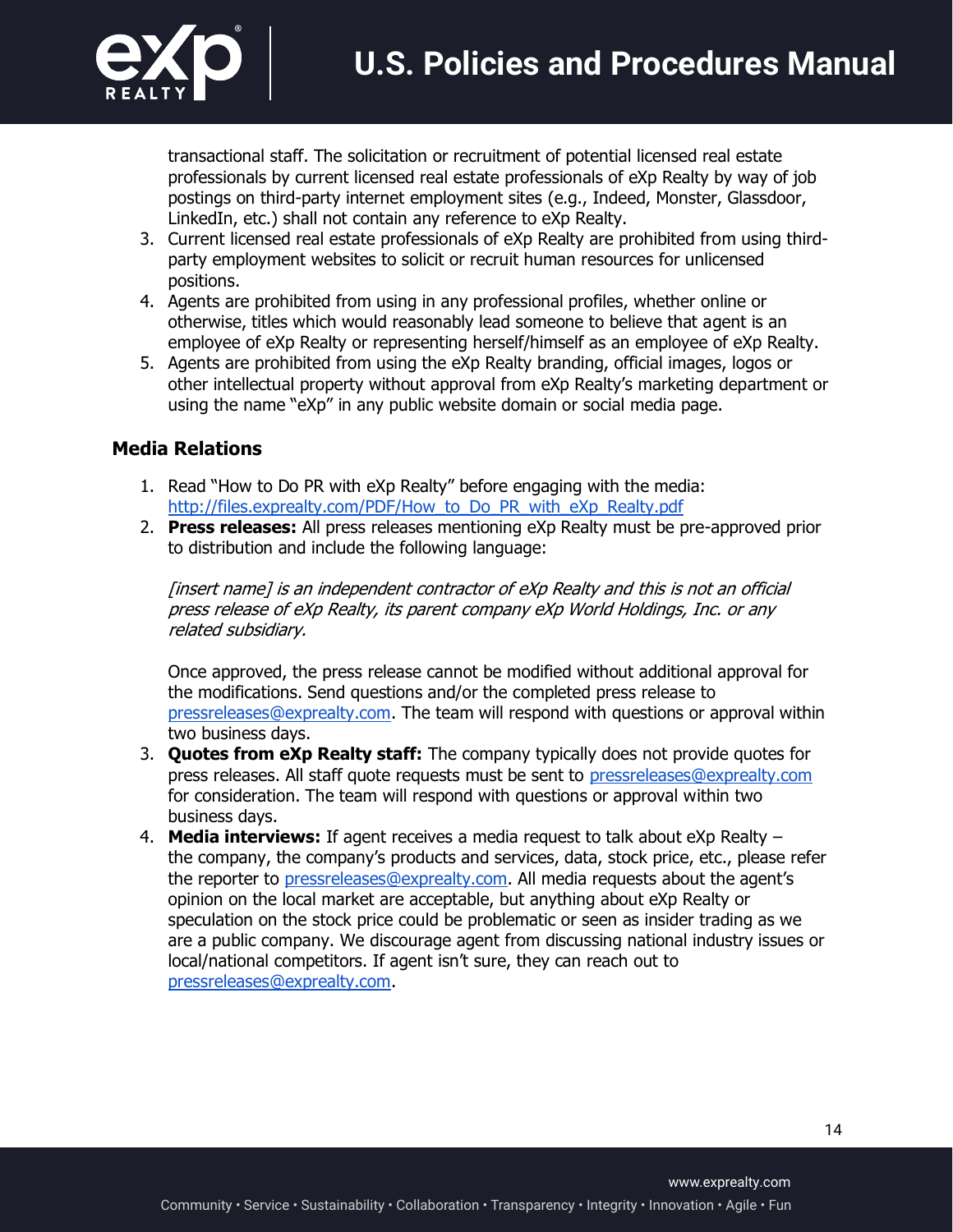

transactional staff. The solicitation or recruitment of potential licensed real estate professionals by current licensed real estate professionals of eXp Realty by way of job postings on third-party internet employment sites (e.g., Indeed, Monster, Glassdoor, LinkedIn, etc.) shall not contain any reference to eXp Realty.

- 3. Current licensed real estate professionals of eXp Realty are prohibited from using thirdparty employment websites to solicit or recruit human resources for unlicensed positions.
- 4. Agents are prohibited from using in any professional profiles, whether online or otherwise, titles which would reasonably lead someone to believe that agent is an employee of eXp Realty or representing herself/himself as an employee of eXp Realty.
- 5. Agents are prohibited from using the eXp Realty branding, official images, logos or other intellectual property without approval from eXp Realty's marketing department or using the name "eXp" in any public website domain or social media page.

#### **Media Relations**

- 1. Read "How to Do PR with eXp Realty" before engaging with the media: http://files.exprealty.com/PDF/How\_to\_Do\_PR\_with\_eXp\_Realty.pdf
- 2. **Press releases:** All press releases mentioning eXp Realty must be pre-approved prior to distribution and include the following language:

[insert name] is an independent contractor of eXp Realty and this is not an official press release of eXp Realty, its parent company eXp World Holdings, Inc. or any related subsidiary.

Once approved, the press release cannot be modified without additional approval for the modifications. Send questions and/or the completed press release to pressreleases@exprealty.com. The team will respond with questions or approval within two business days.

- 3. **Quotes from eXp Realty staff:** The company typically does not provide quotes for press releases. All staff quote requests must be sent to pressreleases@exprealty.com for consideration. The team will respond with questions or approval within two business days.
- 4. **Media interviews:** If agent receives a media request to talk about eXp Realty the company, the company's products and services, data, stock price, etc., please refer the reporter to pressreleases@exprealty.com. All media requests about the agent's opinion on the local market are acceptable, but anything about eXp Realty or speculation on the stock price could be problematic or seen as insider trading as we are a public company. We discourage agent from discussing national industry issues or local/national competitors. If agent isn't sure, they can reach out to pressreleases@exprealty.com.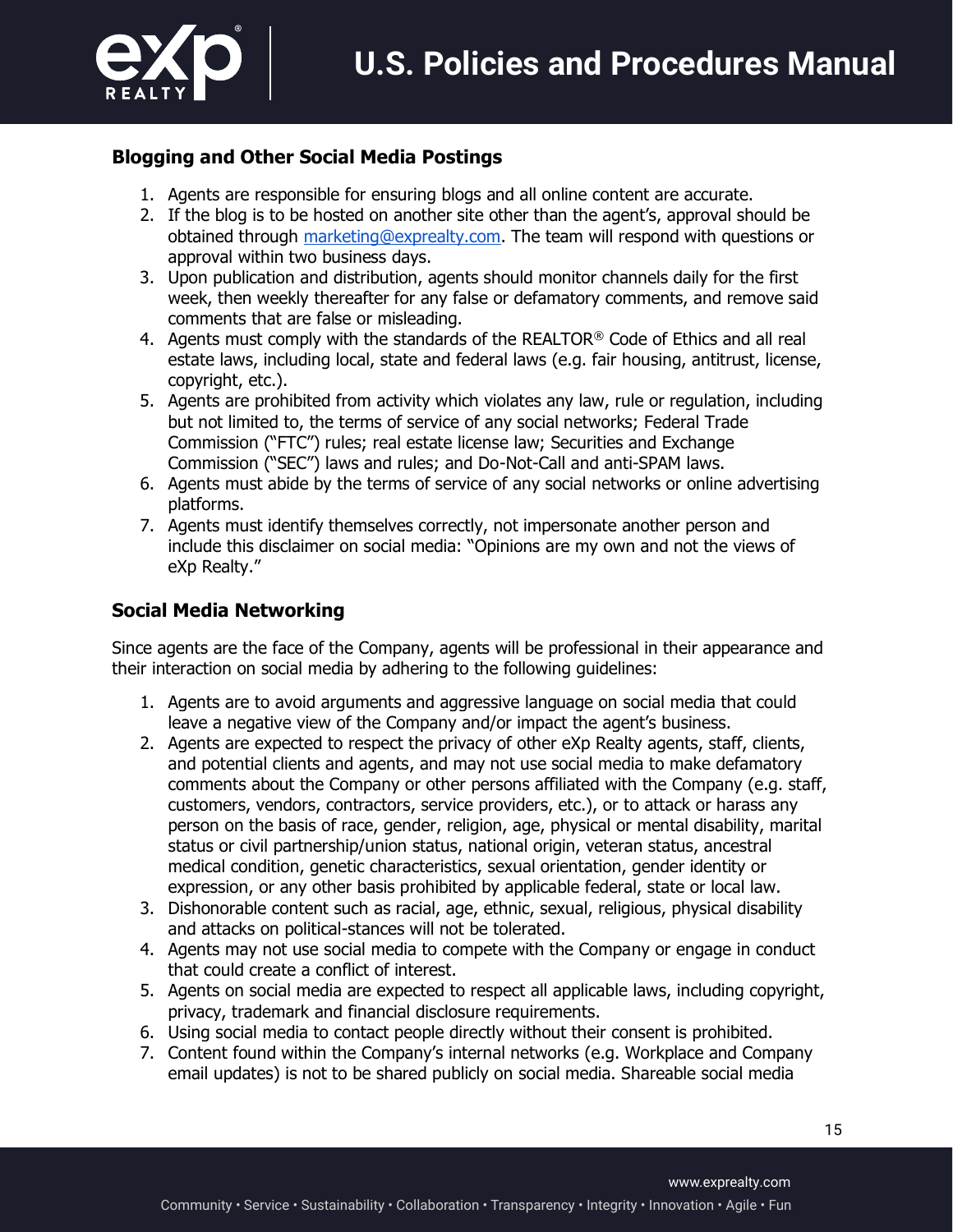

### **Blogging and Other Social Media Postings**

- 1. Agents are responsible for ensuring blogs and all online content are accurate.
- 2. If the blog is to be hosted on another site other than the agent's, approval should be obtained through marketing@exprealty.com. The team will respond with questions or approval within two business days.
- 3. Upon publication and distribution, agents should monitor channels daily for the first week, then weekly thereafter for any false or defamatory comments, and remove said comments that are false or misleading.
- 4. Agents must comply with the standards of the REALTOR<sup>®</sup> Code of Ethics and all real estate laws, including local, state and federal laws (e.g. fair housing, antitrust, license, copyright, etc.).
- 5. Agents are prohibited from activity which violates any law, rule or regulation, including but not limited to, the terms of service of any social networks; Federal Trade Commission ("FTC") rules; real estate license law; Securities and Exchange Commission ("SEC") laws and rules; and Do-Not-Call and anti-SPAM laws.
- 6. Agents must abide by the terms of service of any social networks or online advertising platforms.
- 7. Agents must identify themselves correctly, not impersonate another person and include this disclaimer on social media: "Opinions are my own and not the views of eXp Realty."

### **Social Media Networking**

Since agents are the face of the Company, agents will be professional in their appearance and their interaction on social media by adhering to the following guidelines:

- 1. Agents are to avoid arguments and aggressive language on social media that could leave a negative view of the Company and/or impact the agent's business.
- 2. Agents are expected to respect the privacy of other eXp Realty agents, staff, clients, and potential clients and agents, and may not use social media to make defamatory comments about the Company or other persons affiliated with the Company (e.g. staff, customers, vendors, contractors, service providers, etc.), or to attack or harass any person on the basis of race, gender, religion, age, physical or mental disability, marital status or civil partnership/union status, national origin, veteran status, ancestral medical condition, genetic characteristics, sexual orientation, gender identity or expression, or any other basis prohibited by applicable federal, state or local law.
- 3. Dishonorable content such as racial, age, ethnic, sexual, religious, physical disability and attacks on political-stances will not be tolerated.
- 4. Agents may not use social media to compete with the Company or engage in conduct that could create a conflict of interest.
- 5. Agents on social media are expected to respect all applicable laws, including copyright, privacy, trademark and financial disclosure requirements.
- 6. Using social media to contact people directly without their consent is prohibited.
- 7. Content found within the Company's internal networks (e.g. Workplace and Company email updates) is not to be shared publicly on social media. Shareable social media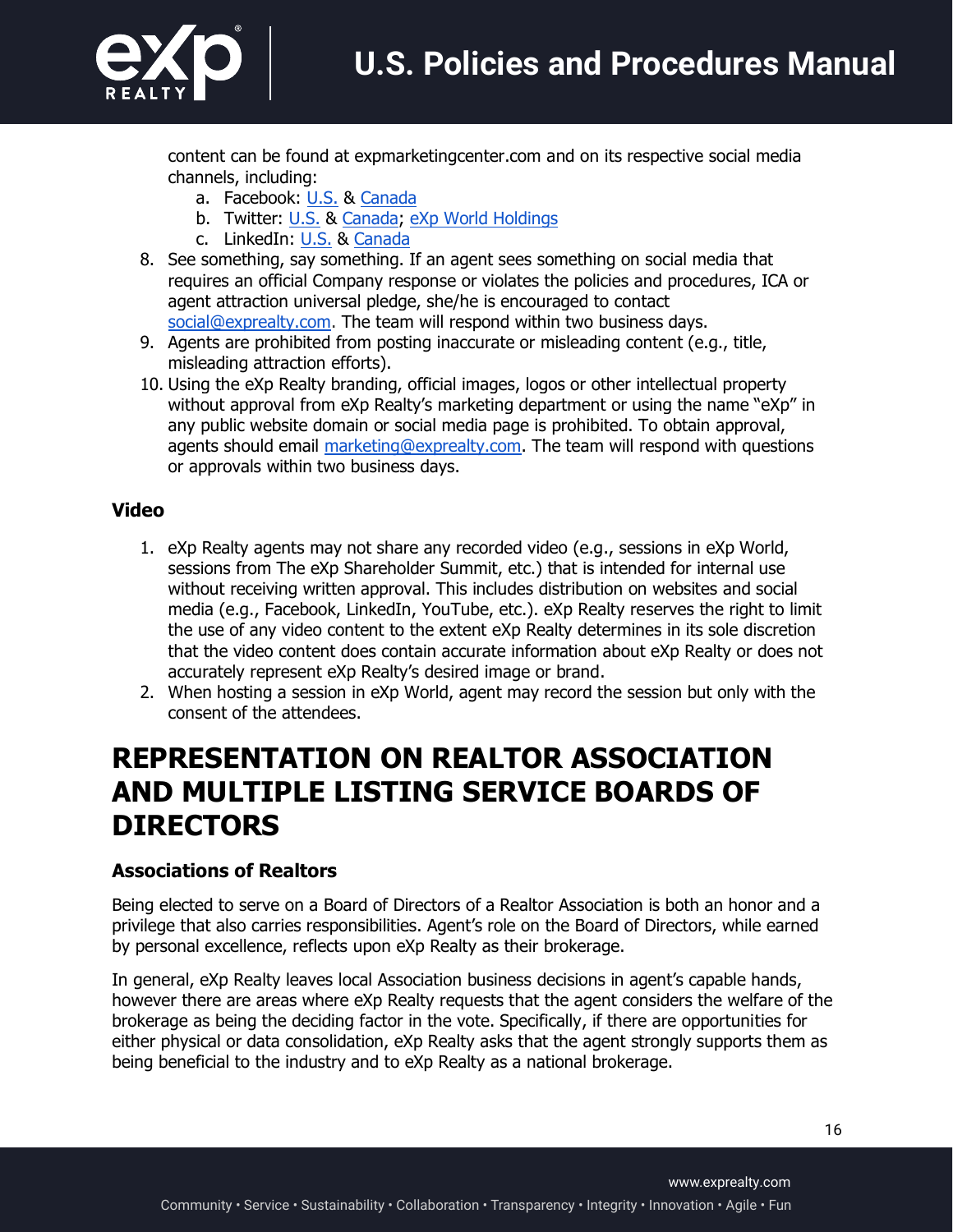

content can be found at expmarketingcenter.com and on its respective social media channels, including:

- a. Facebook: U.S. & Canada
- b. Twitter: U.S. & Canada; eXp World Holdings
- c. LinkedIn: U.S. & Canada
- 8. See something, say something. If an agent sees something on social media that requires an official Company response or violates the policies and procedures, ICA or agent attraction universal pledge, she/he is encouraged to contact social@exprealty.com. The team will respond within two business days.
- 9. Agents are prohibited from posting inaccurate or misleading content (e.g., title, misleading attraction efforts).
- 10. Using the eXp Realty branding, official images, logos or other intellectual property without approval from eXp Realty's marketing department or using the name "eXp" in any public website domain or social media page is prohibited. To obtain approval, agents should email marketing@exprealty.com. The team will respond with questions or approvals within two business days.

#### **Video**

- 1. eXp Realty agents may not share any recorded video (e.g., sessions in eXp World, sessions from The eXp Shareholder Summit, etc.) that is intended for internal use without receiving written approval. This includes distribution on websites and social media (e.g., Facebook, LinkedIn, YouTube, etc.). eXp Realty reserves the right to limit the use of any video content to the extent eXp Realty determines in its sole discretion that the video content does contain accurate information about eXp Realty or does not accurately represent eXp Realty's desired image or brand.
- 2. When hosting a session in eXp World, agent may record the session but only with the consent of the attendees.

### **REPRESENTATION ON REALTOR ASSOCIATION AND MULTIPLE LISTING SERVICE BOARDS OF DIRECTORS**

#### **Associations of Realtors**

Being elected to serve on a Board of Directors of a Realtor Association is both an honor and a privilege that also carries responsibilities. Agent's role on the Board of Directors, while earned by personal excellence, reflects upon eXp Realty as their brokerage.

In general, eXp Realty leaves local Association business decisions in agent's capable hands, however there are areas where eXp Realty requests that the agent considers the welfare of the brokerage as being the deciding factor in the vote. Specifically, if there are opportunities for either physical or data consolidation, eXp Realty asks that the agent strongly supports them as being beneficial to the industry and to eXp Realty as a national brokerage.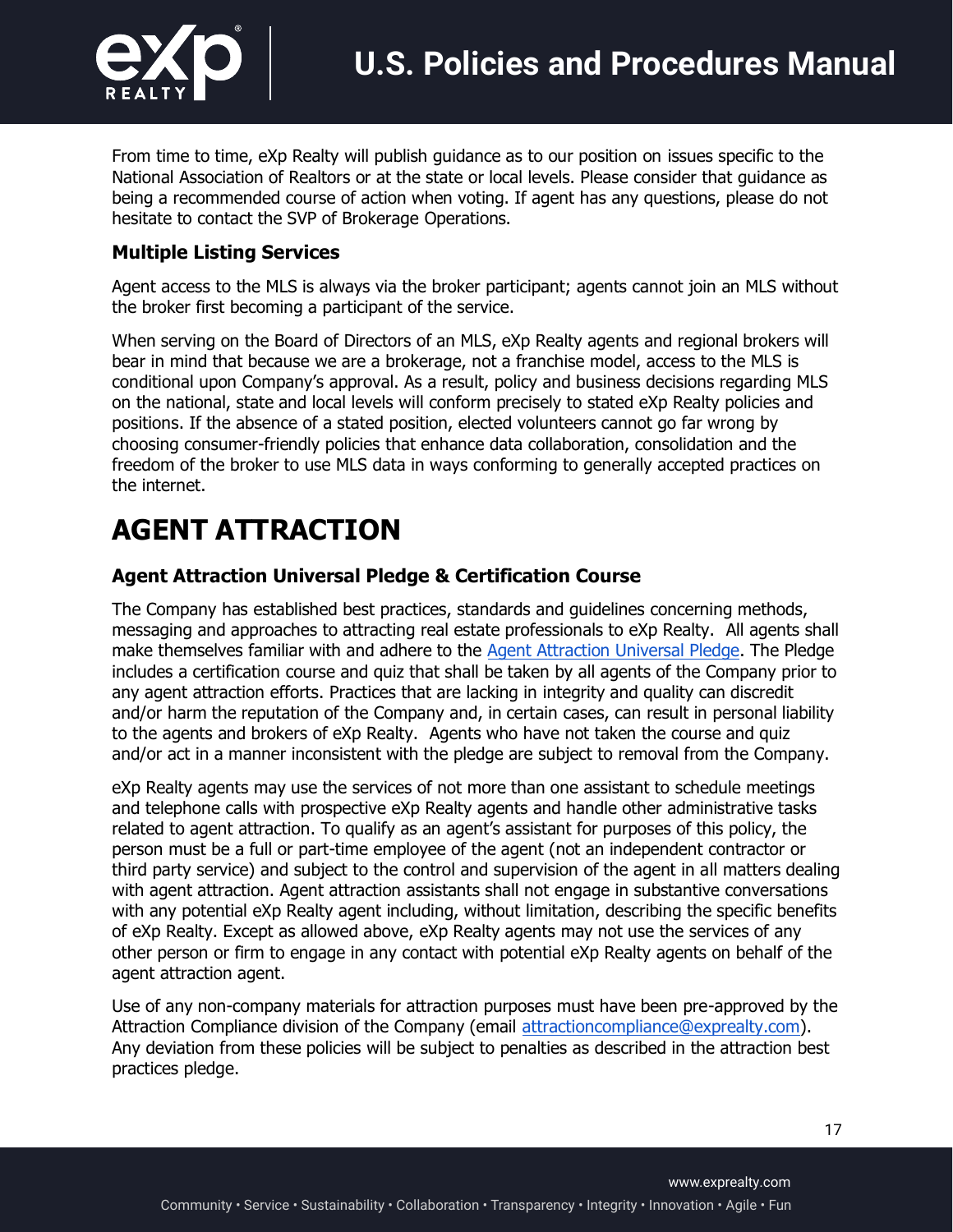

From time to time, eXp Realty will publish guidance as to our position on issues specific to the National Association of Realtors or at the state or local levels. Please consider that guidance as being a recommended course of action when voting. If agent has any questions, please do not hesitate to contact the SVP of Brokerage Operations.

#### **Multiple Listing Services**

Agent access to the MLS is always via the broker participant; agents cannot join an MLS without the broker first becoming a participant of the service.

When serving on the Board of Directors of an MLS, eXp Realty agents and regional brokers will bear in mind that because we are a brokerage, not a franchise model, access to the MLS is conditional upon Company's approval. As a result, policy and business decisions regarding MLS on the national, state and local levels will conform precisely to stated eXp Realty policies and positions. If the absence of a stated position, elected volunteers cannot go far wrong by choosing consumer-friendly policies that enhance data collaboration, consolidation and the freedom of the broker to use MLS data in ways conforming to generally accepted practices on the internet.

# **AGENT ATTRACTION**

#### **Agent Attraction Universal Pledge & Certification Course**

The Company has established best practices, standards and guidelines concerning methods, messaging and approaches to attracting real estate professionals to eXp Realty. All agents shall make themselves familiar with and adhere to the Agent Attraction Universal Pledge. The Pledge includes a certification course and quiz that shall be taken by all agents of the Company prior to any agent attraction efforts. Practices that are lacking in integrity and quality can discredit and/or harm the reputation of the Company and, in certain cases, can result in personal liability to the agents and brokers of eXp Realty. Agents who have not taken the course and quiz and/or act in a manner inconsistent with the pledge are subject to removal from the Company.

eXp Realty agents may use the services of not more than one assistant to schedule meetings and telephone calls with prospective eXp Realty agents and handle other administrative tasks related to agent attraction. To qualify as an agent's assistant for purposes of this policy, the person must be a full or part-time employee of the agent (not an independent contractor or third party service) and subject to the control and supervision of the agent in all matters dealing with agent attraction. Agent attraction assistants shall not engage in substantive conversations with any potential eXp Realty agent including, without limitation, describing the specific benefits of eXp Realty. Except as allowed above, eXp Realty agents may not use the services of any other person or firm to engage in any contact with potential eXp Realty agents on behalf of the agent attraction agent.

Use of any non-company materials for attraction purposes must have been pre-approved by the Attraction Compliance division of the Company (email attractioncompliance@exprealty.com). Any deviation from these policies will be subject to penalties as described in the attraction best practices pledge.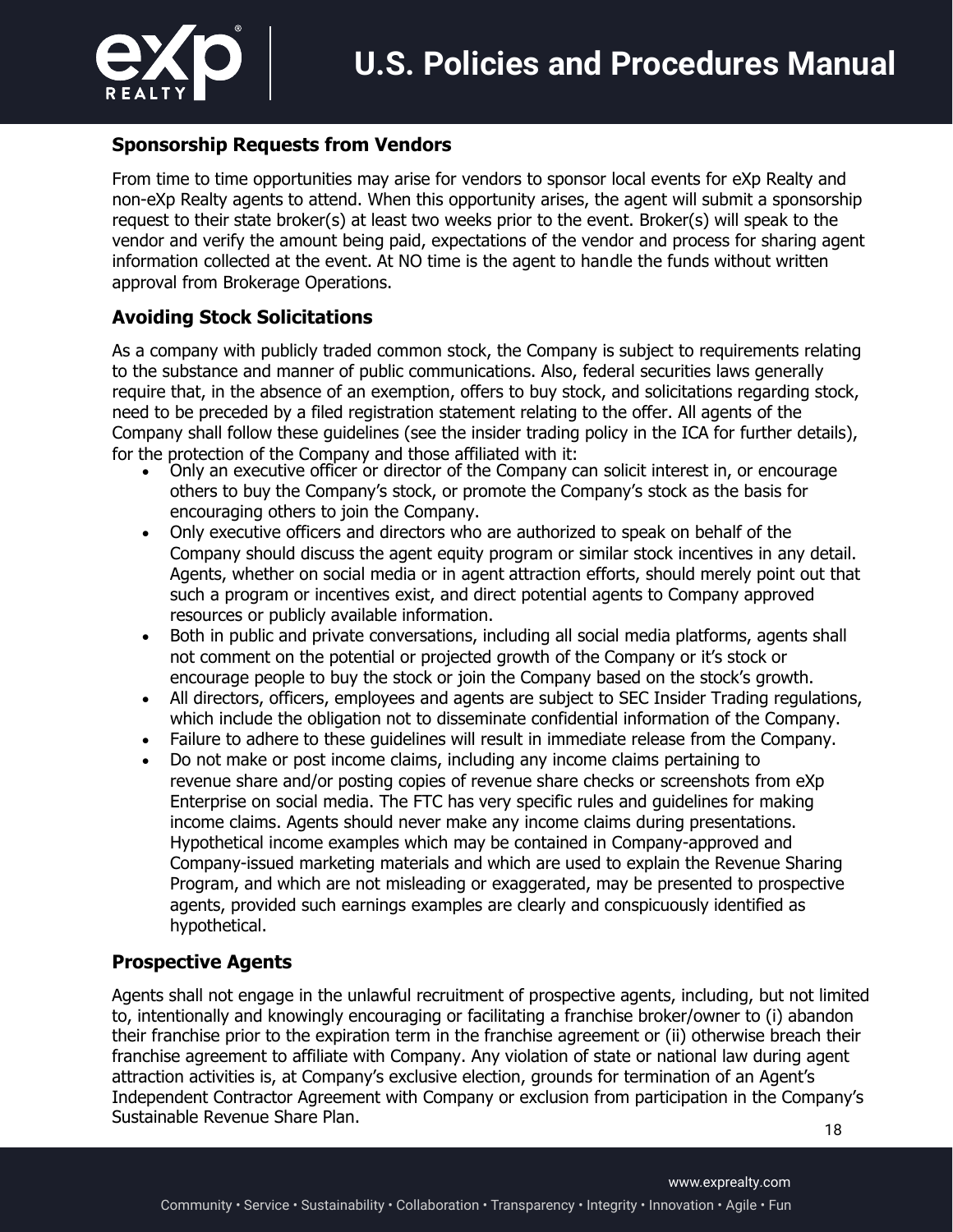

#### **Sponsorship Requests from Vendors**

From time to time opportunities may arise for vendors to sponsor local events for eXp Realty and non-eXp Realty agents to attend. When this opportunity arises, the agent will submit a sponsorship request to their state broker(s) at least two weeks prior to the event. Broker(s) will speak to the vendor and verify the amount being paid, expectations of the vendor and process for sharing agent information collected at the event. At NO time is the agent to handle the funds without written approval from Brokerage Operations.

#### **Avoiding Stock Solicitations**

As a company with publicly traded common stock, the Company is subject to requirements relating to the substance and manner of public communications. Also, federal securities laws generally require that, in the absence of an exemption, offers to buy stock, and solicitations regarding stock, need to be preceded by a filed registration statement relating to the offer. All agents of the Company shall follow these guidelines (see the insider trading policy in the ICA for further details), for the protection of the Company and those affiliated with it: • Only an executive officer or director of the Company can solicit interest in, or encourage

- others to buy the Company's stock, or promote the Company's stock as the basis for encouraging others to join the Company.
- Only executive officers and directors who are authorized to speak on behalf of the Company should discuss the agent equity program or similar stock incentives in any detail. Agents, whether on social media or in agent attraction efforts, should merely point out that such a program or incentives exist, and direct potential agents to Company approved resources or publicly available information.
- Both in public and private conversations, including all social media platforms, agents shall not comment on the potential or projected growth of the Company or it's stock or encourage people to buy the stock or join the Company based on the stock's growth.
- All directors, officers, employees and agents are subject to SEC Insider Trading regulations, which include the obligation not to disseminate confidential information of the Company.
- Failure to adhere to these guidelines will result in immediate release from the Company.
- Do not make or post income claims, including any income claims pertaining to revenue share and/or posting copies of revenue share checks or screenshots from eXp Enterprise on social media. The FTC has very specific rules and guidelines for making income claims. Agents should never make any income claims during presentations. Hypothetical income examples which may be contained in Company-approved and Company-issued marketing materials and which are used to explain the Revenue Sharing Program, and which are not misleading or exaggerated, may be presented to prospective agents, provided such earnings examples are clearly and conspicuously identified as hypothetical.

#### **Prospective Agents**

Agents shall not engage in the unlawful recruitment of prospective agents, including, but not limited to, intentionally and knowingly encouraging or facilitating a franchise broker/owner to (i) abandon their franchise prior to the expiration term in the franchise agreement or (ii) otherwise breach their franchise agreement to affiliate with Company. Any violation of state or national law during agent attraction activities is, at Company's exclusive election, grounds for termination of an Agent's Independent Contractor Agreement with Company or exclusion from participation in the Company's Sustainable Revenue Share Plan.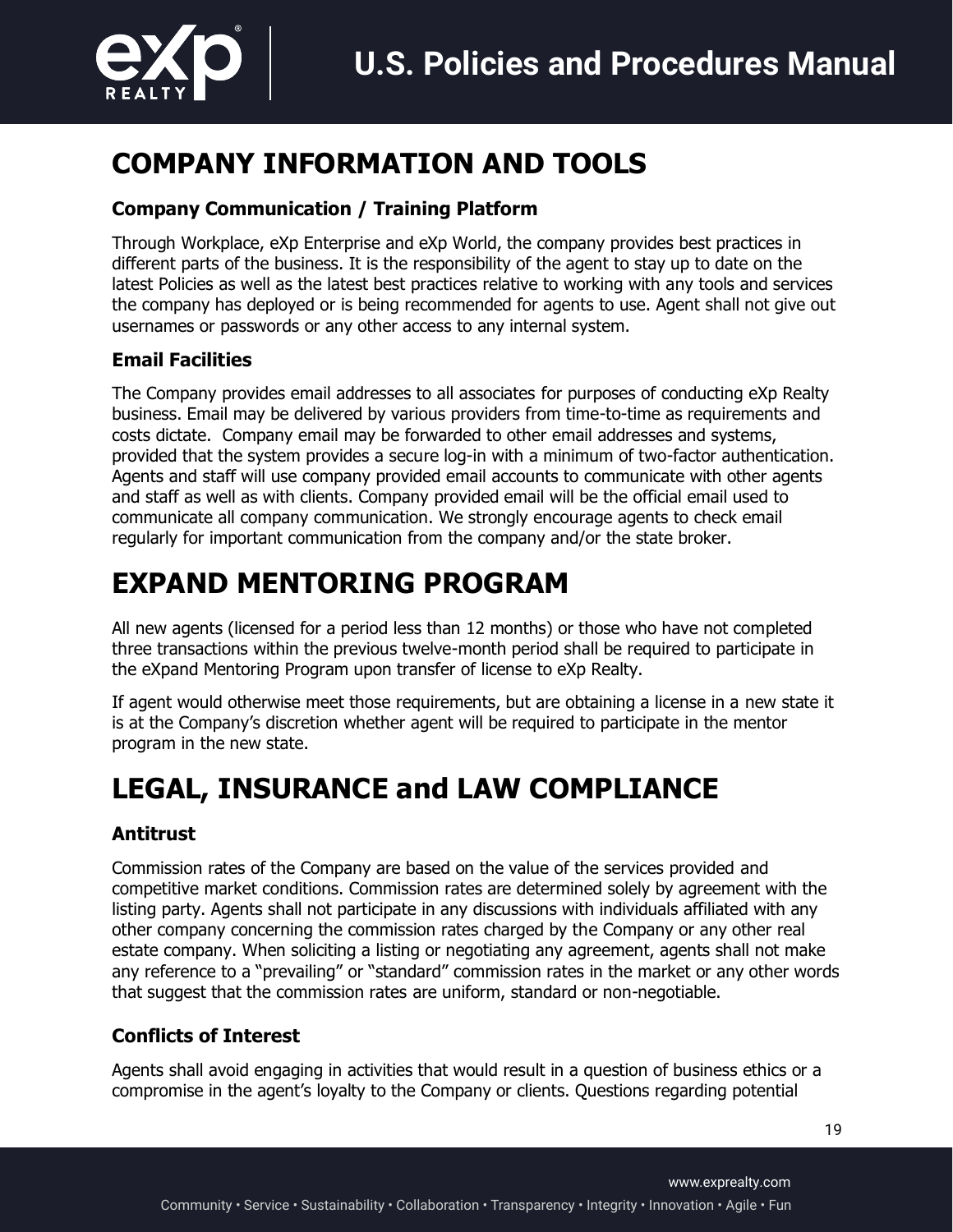

# **COMPANY INFORMATION AND TOOLS**

### **Company Communication / Training Platform**

Through Workplace, eXp Enterprise and eXp World, the company provides best practices in different parts of the business. It is the responsibility of the agent to stay up to date on the latest Policies as well as the latest best practices relative to working with any tools and services the company has deployed or is being recommended for agents to use. Agent shall not give out usernames or passwords or any other access to any internal system.

### **Email Facilities**

The Company provides email addresses to all associates for purposes of conducting eXp Realty business. Email may be delivered by various providers from time-to-time as requirements and costs dictate. Company email may be forwarded to other email addresses and systems, provided that the system provides a secure log-in with a minimum of two-factor authentication. Agents and staff will use company provided email accounts to communicate with other agents and staff as well as with clients. Company provided email will be the official email used to communicate all company communication. We strongly encourage agents to check email regularly for important communication from the company and/or the state broker.

# **EXPAND MENTORING PROGRAM**

All new agents (licensed for a period less than 12 months) or those who have not completed three transactions within the previous twelve-month period shall be required to participate in the eXpand Mentoring Program upon transfer of license to eXp Realty.

If agent would otherwise meet those requirements, but are obtaining a license in a new state it is at the Company's discretion whether agent will be required to participate in the mentor program in the new state.

# **LEGAL, INSURANCE and LAW COMPLIANCE**

### **Antitrust**

Commission rates of the Company are based on the value of the services provided and competitive market conditions. Commission rates are determined solely by agreement with the listing party. Agents shall not participate in any discussions with individuals affiliated with any other company concerning the commission rates charged by the Company or any other real estate company. When soliciting a listing or negotiating any agreement, agents shall not make any reference to a "prevailing" or "standard" commission rates in the market or any other words that suggest that the commission rates are uniform, standard or non-negotiable.

### **Conflicts of Interest**

Agents shall avoid engaging in activities that would result in a question of business ethics or a compromise in the agent's loyalty to the Company or clients. Questions regarding potential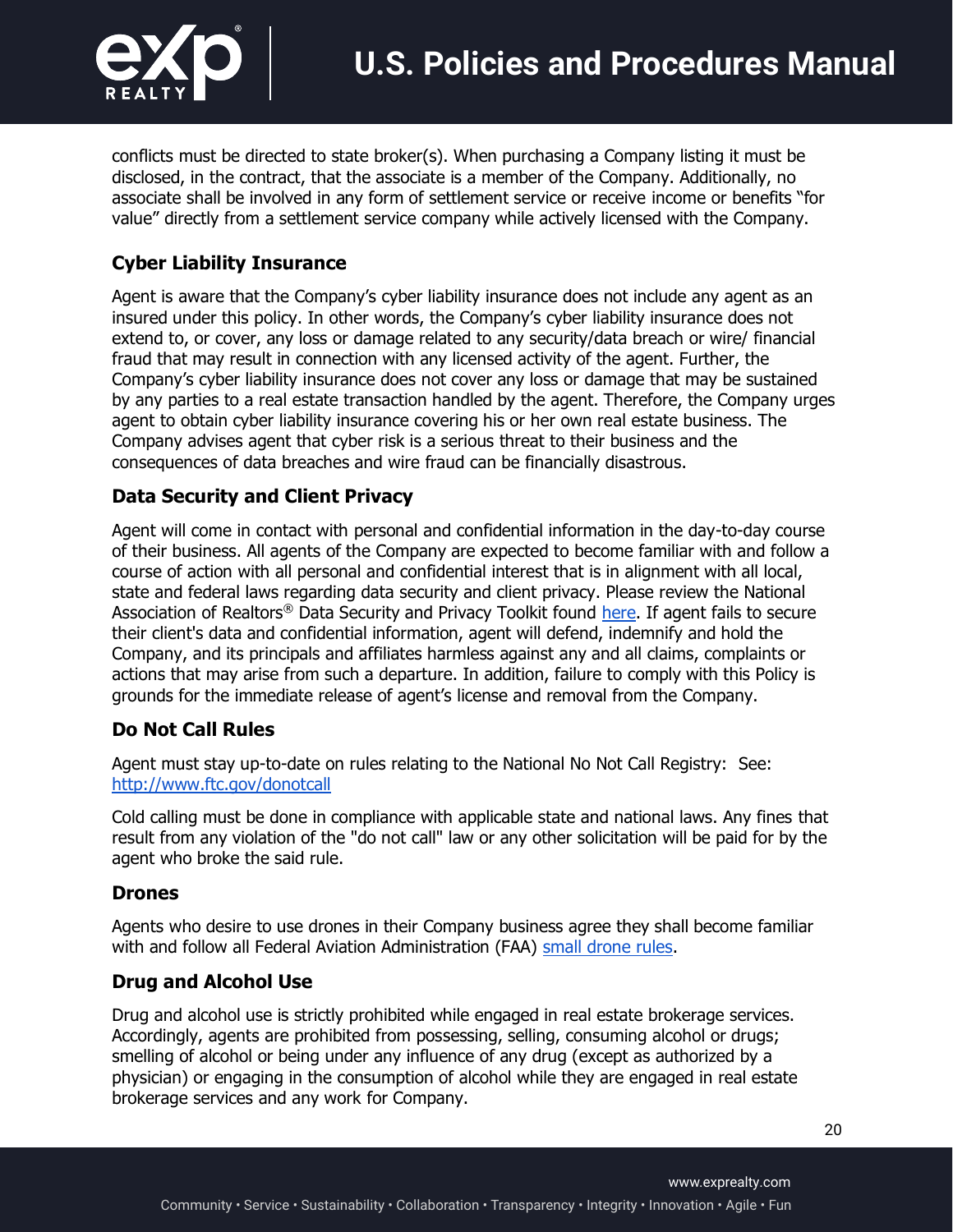

conflicts must be directed to state broker(s). When purchasing a Company listing it must be disclosed, in the contract, that the associate is a member of the Company. Additionally, no associate shall be involved in any form of settlement service or receive income or benefits "for value" directly from a settlement service company while actively licensed with the Company.

### **Cyber Liability Insurance**

Agent is aware that the Company's cyber liability insurance does not include any agent as an insured under this policy. In other words, the Company's cyber liability insurance does not extend to, or cover, any loss or damage related to any security/data breach or wire/ financial fraud that may result in connection with any licensed activity of the agent. Further, the Company's cyber liability insurance does not cover any loss or damage that may be sustained by any parties to a real estate transaction handled by the agent. Therefore, the Company urges agent to obtain cyber liability insurance covering his or her own real estate business. The Company advises agent that cyber risk is a serious threat to their business and the consequences of data breaches and wire fraud can be financially disastrous.

#### **Data Security and Client Privacy**

Agent will come in contact with personal and confidential information in the day-to-day course of their business. All agents of the Company are expected to become familiar with and follow a course of action with all personal and confidential interest that is in alignment with all local, state and federal laws regarding data security and client privacy. Please review the National Association of Realtors<sup>®</sup> Data Security and Privacy Toolkit found here. If agent fails to secure their client's data and confidential information, agent will defend, indemnify and hold the Company, and its principals and affiliates harmless against any and all claims, complaints or actions that may arise from such a departure. In addition, failure to comply with this Policy is grounds for the immediate release of agent's license and removal from the Company.

### **Do Not Call Rules**

Agent must stay up-to-date on rules relating to the National No Not Call Registry: See: http://www.ftc.gov/donotcall

Cold calling must be done in compliance with applicable state and national laws. Any fines that result from any violation of the "do not call" law or any other solicitation will be paid for by the agent who broke the said rule.

#### **Drones**

Agents who desire to use drones in their Company business agree they shall become familiar with and follow all Federal Aviation Administration (FAA) small drone rules.

### **Drug and Alcohol Use**

Drug and alcohol use is strictly prohibited while engaged in real estate brokerage services. Accordingly, agents are prohibited from possessing, selling, consuming alcohol or drugs; smelling of alcohol or being under any influence of any drug (except as authorized by a physician) or engaging in the consumption of alcohol while they are engaged in real estate brokerage services and any work for Company.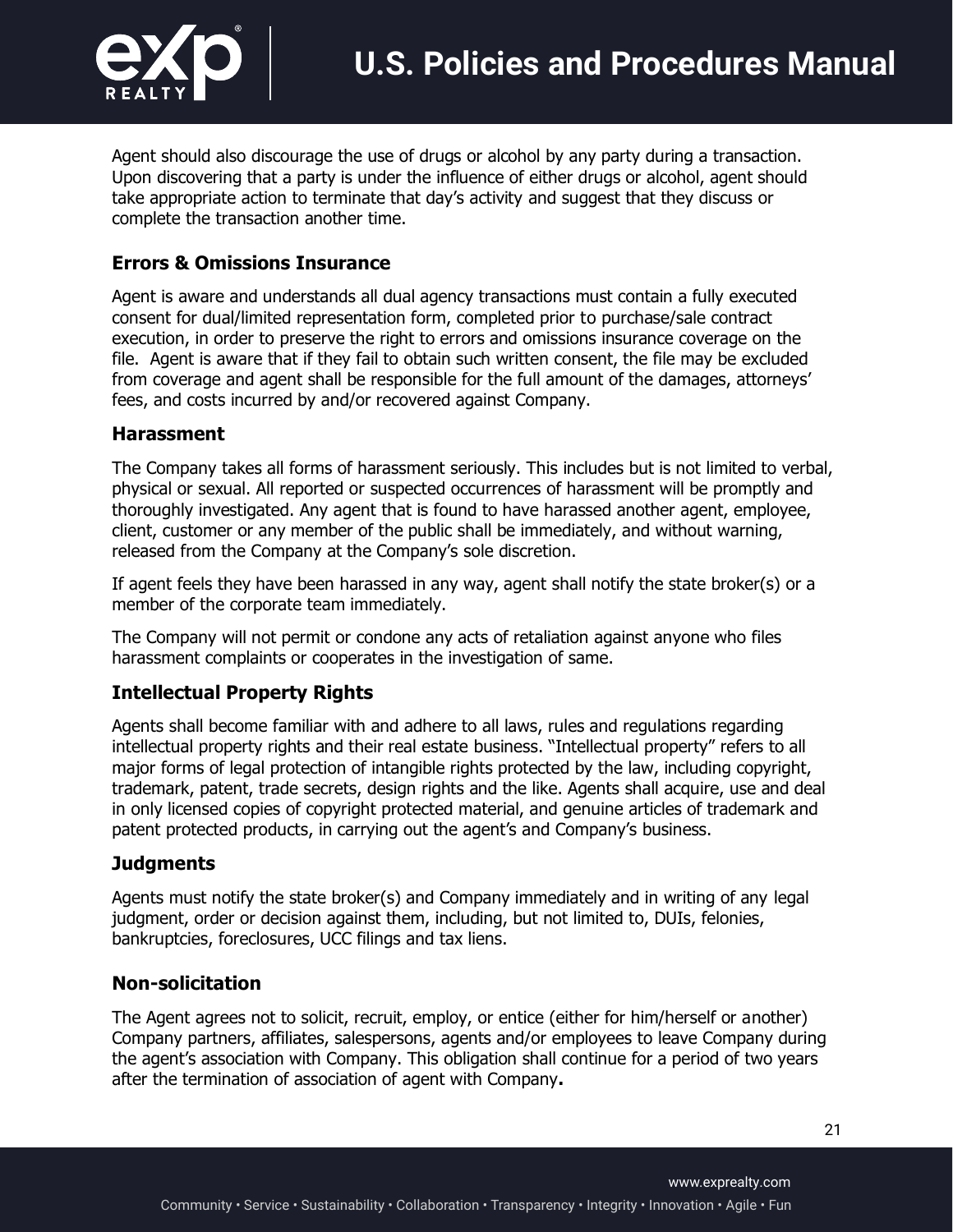

Agent should also discourage the use of drugs or alcohol by any party during a transaction. Upon discovering that a party is under the influence of either drugs or alcohol, agent should take appropriate action to terminate that day's activity and suggest that they discuss or complete the transaction another time.

#### **Errors & Omissions Insurance**

Agent is aware and understands all dual agency transactions must contain a fully executed consent for dual/limited representation form, completed prior to purchase/sale contract execution, in order to preserve the right to errors and omissions insurance coverage on the file. Agent is aware that if they fail to obtain such written consent, the file may be excluded from coverage and agent shall be responsible for the full amount of the damages, attorneys' fees, and costs incurred by and/or recovered against Company.

#### **Harassment**

The Company takes all forms of harassment seriously. This includes but is not limited to verbal, physical or sexual. All reported or suspected occurrences of harassment will be promptly and thoroughly investigated. Any agent that is found to have harassed another agent, employee, client, customer or any member of the public shall be immediately, and without warning, released from the Company at the Company's sole discretion.

If agent feels they have been harassed in any way, agent shall notify the state broker(s) or a member of the corporate team immediately.

The Company will not permit or condone any acts of retaliation against anyone who files harassment complaints or cooperates in the investigation of same.

#### **Intellectual Property Rights**

Agents shall become familiar with and adhere to all laws, rules and regulations regarding intellectual property rights and their real estate business. "Intellectual property" refers to all major forms of legal protection of intangible rights protected by the law, including copyright, trademark, patent, trade secrets, design rights and the like. Agents shall acquire, use and deal in only licensed copies of copyright protected material, and genuine articles of trademark and patent protected products, in carrying out the agent's and Company's business.

#### **Judgments**

Agents must notify the state broker(s) and Company immediately and in writing of any legal judgment, order or decision against them, including, but not limited to, DUIs, felonies, bankruptcies, foreclosures, UCC filings and tax liens.

#### **Non-solicitation**

The Agent agrees not to solicit, recruit, employ, or entice (either for him/herself or another) Company partners, affiliates, salespersons, agents and/or employees to leave Company during the agent's association with Company. This obligation shall continue for a period of two years after the termination of association of agent with Company**.**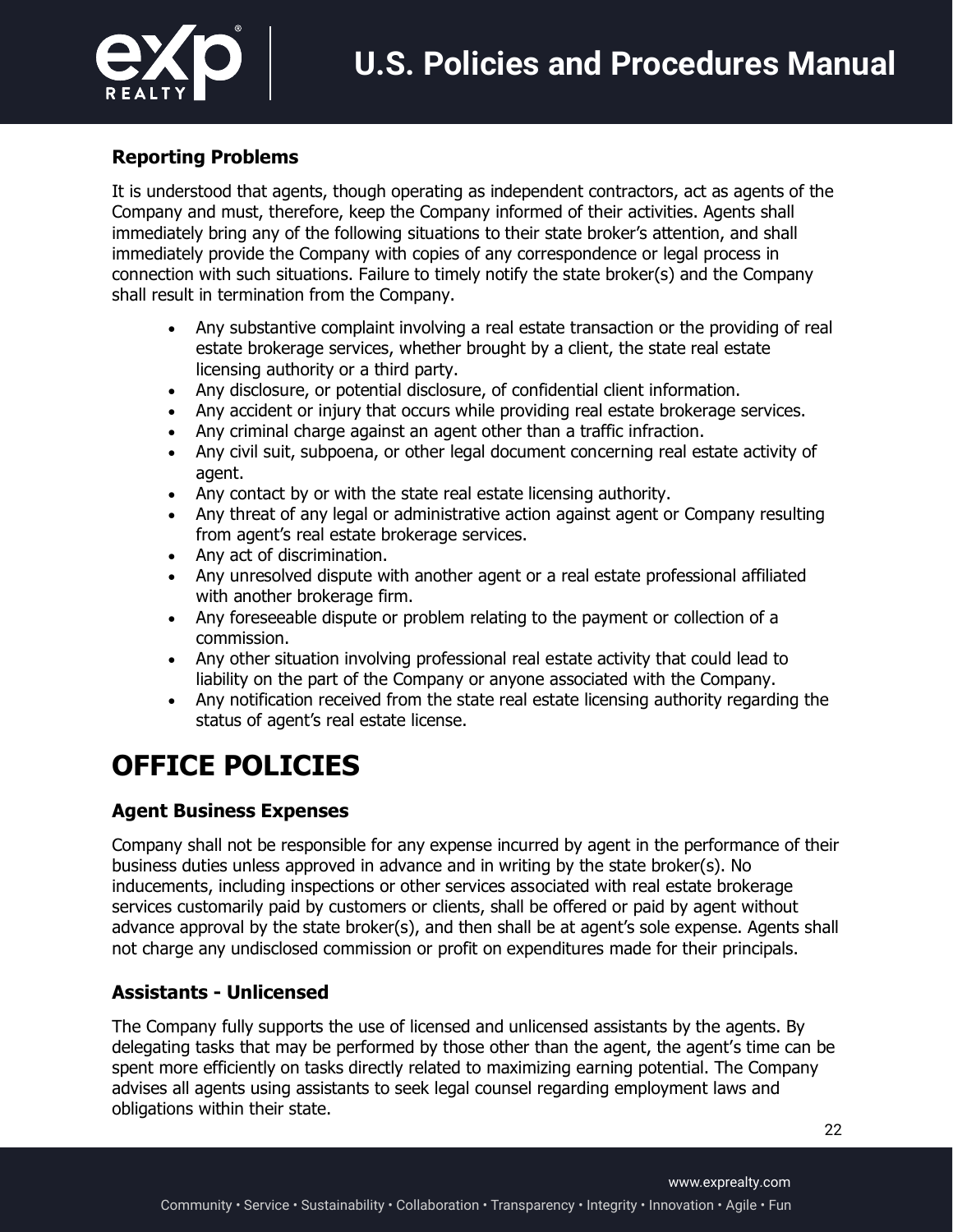

### **Reporting Problems**

It is understood that agents, though operating as independent contractors, act as agents of the Company and must, therefore, keep the Company informed of their activities. Agents shall immediately bring any of the following situations to their state broker's attention, and shall immediately provide the Company with copies of any correspondence or legal process in connection with such situations. Failure to timely notify the state broker(s) and the Company shall result in termination from the Company.

- Any substantive complaint involving a real estate transaction or the providing of real estate brokerage services, whether brought by a client, the state real estate licensing authority or a third party.
- Any disclosure, or potential disclosure, of confidential client information.
- Any accident or injury that occurs while providing real estate brokerage services.
- Any criminal charge against an agent other than a traffic infraction.
- Any civil suit, subpoena, or other legal document concerning real estate activity of agent.
- Any contact by or with the state real estate licensing authority.
- Any threat of any legal or administrative action against agent or Company resulting from agent's real estate brokerage services.
- Any act of discrimination.
- Any unresolved dispute with another agent or a real estate professional affiliated with another brokerage firm.
- Any foreseeable dispute or problem relating to the payment or collection of a commission.
- Any other situation involving professional real estate activity that could lead to liability on the part of the Company or anyone associated with the Company.
- Any notification received from the state real estate licensing authority regarding the status of agent's real estate license.

# **OFFICE POLICIES**

### **Agent Business Expenses**

Company shall not be responsible for any expense incurred by agent in the performance of their business duties unless approved in advance and in writing by the state broker(s). No inducements, including inspections or other services associated with real estate brokerage services customarily paid by customers or clients, shall be offered or paid by agent without advance approval by the state broker(s), and then shall be at agent's sole expense. Agents shall not charge any undisclosed commission or profit on expenditures made for their principals.

### **Assistants - Unlicensed**

The Company fully supports the use of licensed and unlicensed assistants by the agents. By delegating tasks that may be performed by those other than the agent, the agent's time can be spent more efficiently on tasks directly related to maximizing earning potential. The Company advises all agents using assistants to seek legal counsel regarding employment laws and obligations within their state.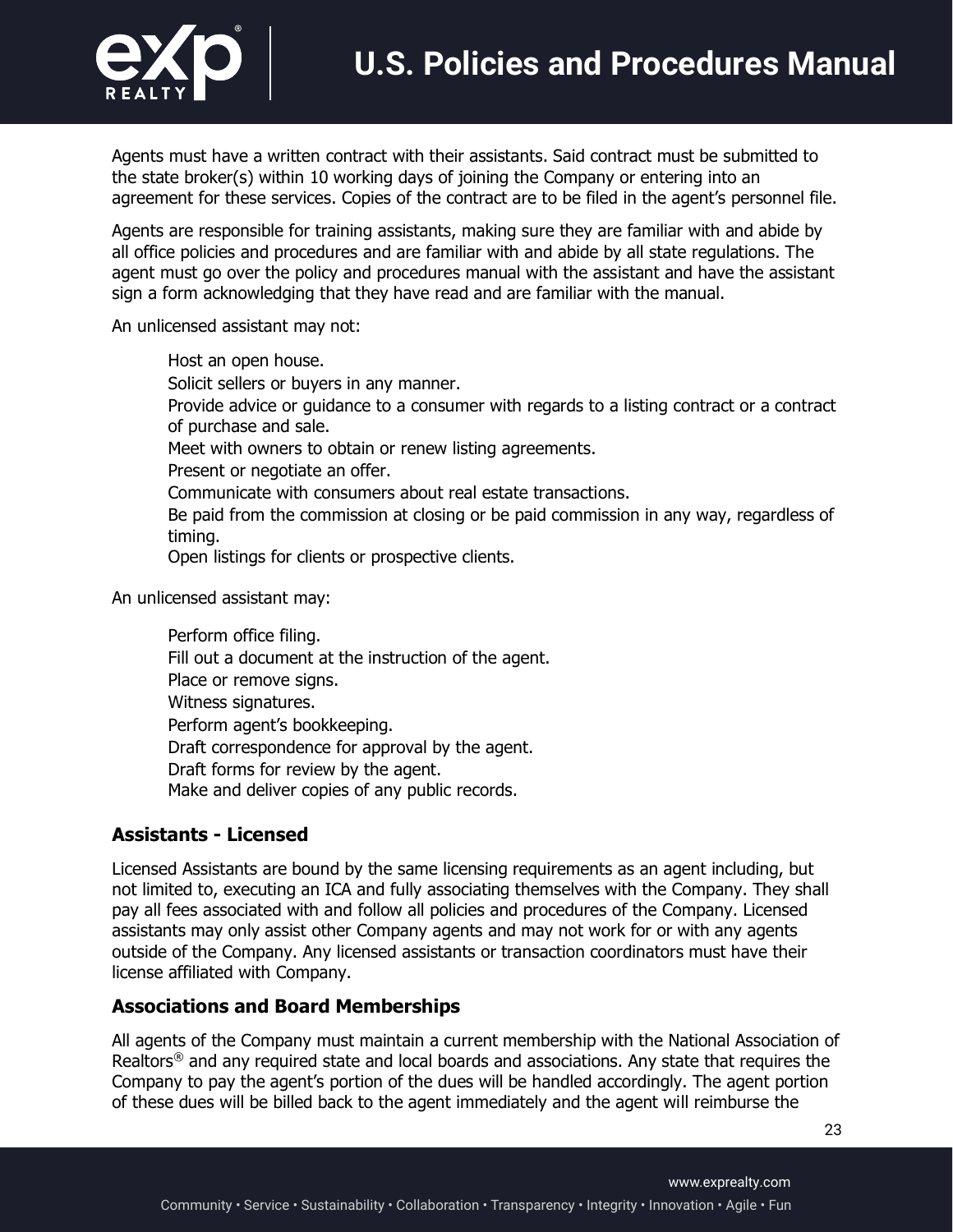

Agents must have a written contract with their assistants. Said contract must be submitted to the state broker(s) within 10 working days of joining the Company or entering into an agreement for these services. Copies of the contract are to be filed in the agent's personnel file.

Agents are responsible for training assistants, making sure they are familiar with and abide by all office policies and procedures and are familiar with and abide by all state regulations. The agent must go over the policy and procedures manual with the assistant and have the assistant sign a form acknowledging that they have read and are familiar with the manual.

An unlicensed assistant may not:

• Host an open house. Solicit sellers or buyers in any manner. • Provide advice or guidance to a consumer with regards to a listing contract or a contract of purchase and sale. Meet with owners to obtain or renew listing agreements. Present or negotiate an offer. • Communicate with consumers about real estate transactions. • Be paid from the commission at closing or be paid commission in any way, regardless of timing. Open listings for clients or prospective clients.

An unlicensed assistant may:

Perform office filing. Fill out a document at the instruction of the agent. Place or remove signs. • Witness signatures. Perform agent's bookkeeping. Draft correspondence for approval by the agent. Draft forms for review by the agent. Make and deliver copies of any public records.

### **Assistants - Licensed**

Licensed Assistants are bound by the same licensing requirements as an agent including, but not limited to, executing an ICA and fully associating themselves with the Company. They shall pay all fees associated with and follow all policies and procedures of the Company. Licensed assistants may only assist other Company agents and may not work for or with any agents outside of the Company. Any licensed assistants or transaction coordinators must have their license affiliated with Company.

#### **Associations and Board Memberships**

All agents of the Company must maintain a current membership with the National Association of Realtors® and any required state and local boards and associations. Any state that requires the Company to pay the agent's portion of the dues will be handled accordingly. The agent portion of these dues will be billed back to the agent immediately and the agent will reimburse the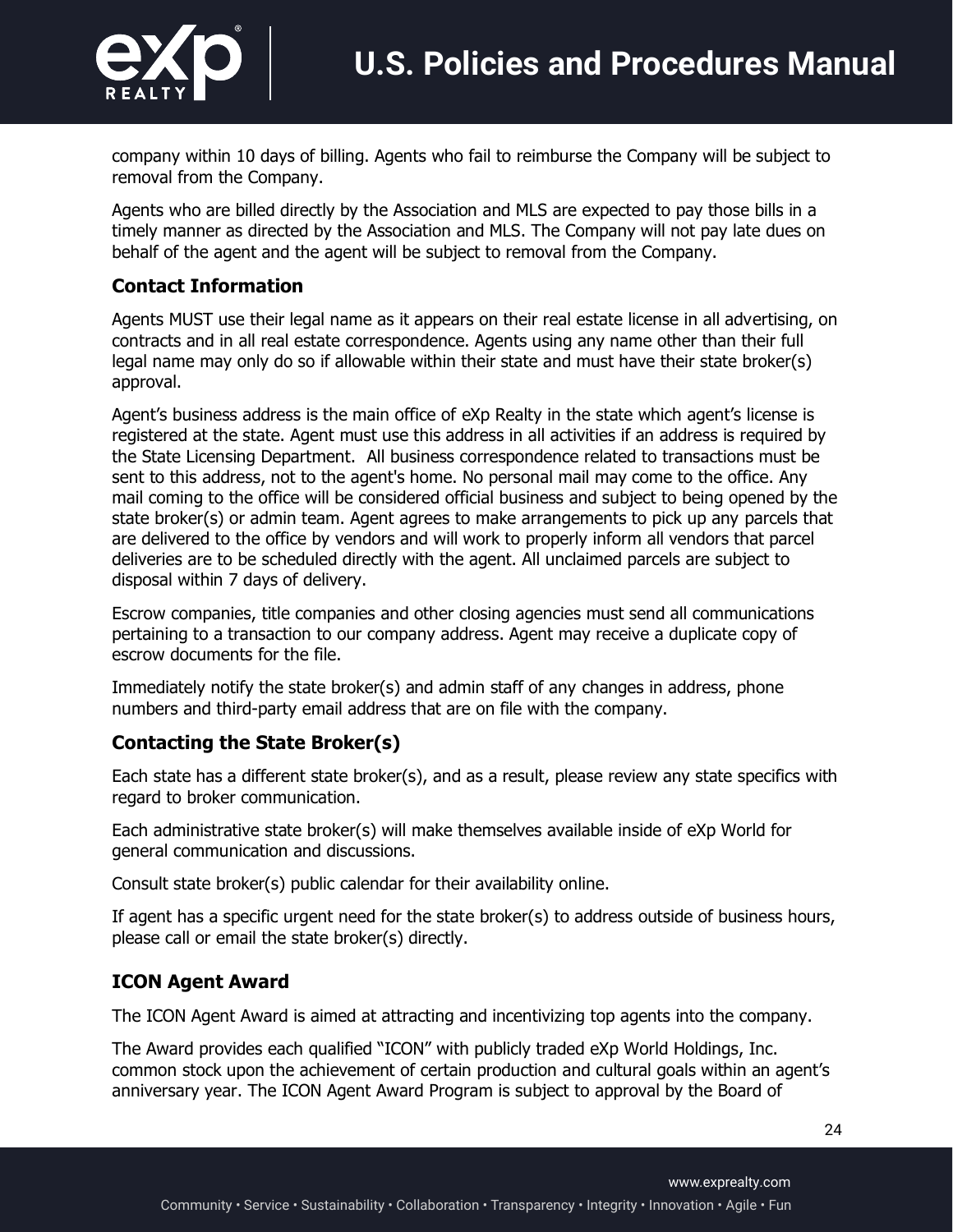

company within 10 days of billing. Agents who fail to reimburse the Company will be subject to removal from the Company.

Agents who are billed directly by the Association and MLS are expected to pay those bills in a timely manner as directed by the Association and MLS. The Company will not pay late dues on behalf of the agent and the agent will be subject to removal from the Company.

### **Contact Information**

Agents MUST use their legal name as it appears on their real estate license in all advertising, on contracts and in all real estate correspondence. Agents using any name other than their full legal name may only do so if allowable within their state and must have their state broker(s) approval.

Agent's business address is the main office of eXp Realty in the state which agent's license is registered at the state. Agent must use this address in all activities if an address is required by the State Licensing Department. All business correspondence related to transactions must be sent to this address, not to the agent's home. No personal mail may come to the office. Any mail coming to the office will be considered official business and subject to being opened by the state broker(s) or admin team. Agent agrees to make arrangements to pick up any parcels that are delivered to the office by vendors and will work to properly inform all vendors that parcel deliveries are to be scheduled directly with the agent. All unclaimed parcels are subject to disposal within 7 days of delivery.

Escrow companies, title companies and other closing agencies must send all communications pertaining to a transaction to our company address. Agent may receive a duplicate copy of escrow documents for the file.

Immediately notify the state broker(s) and admin staff of any changes in address, phone numbers and third-party email address that are on file with the company.

### **Contacting the State Broker(s)**

Each state has a different state broker(s), and as a result, please review any state specifics with regard to broker communication.

Each administrative state broker(s) will make themselves available inside of eXp World for general communication and discussions.

Consult state broker(s) public calendar for their availability online.

If agent has a specific urgent need for the state broker(s) to address outside of business hours, please call or email the state broker(s) directly.

### **ICON Agent Award**

The ICON Agent Award is aimed at attracting and incentivizing top agents into the company.

The Award provides each qualified "ICON" with publicly traded eXp World Holdings, Inc. common stock upon the achievement of certain production and cultural goals within an agent's anniversary year. The ICON Agent Award Program is subject to approval by the Board of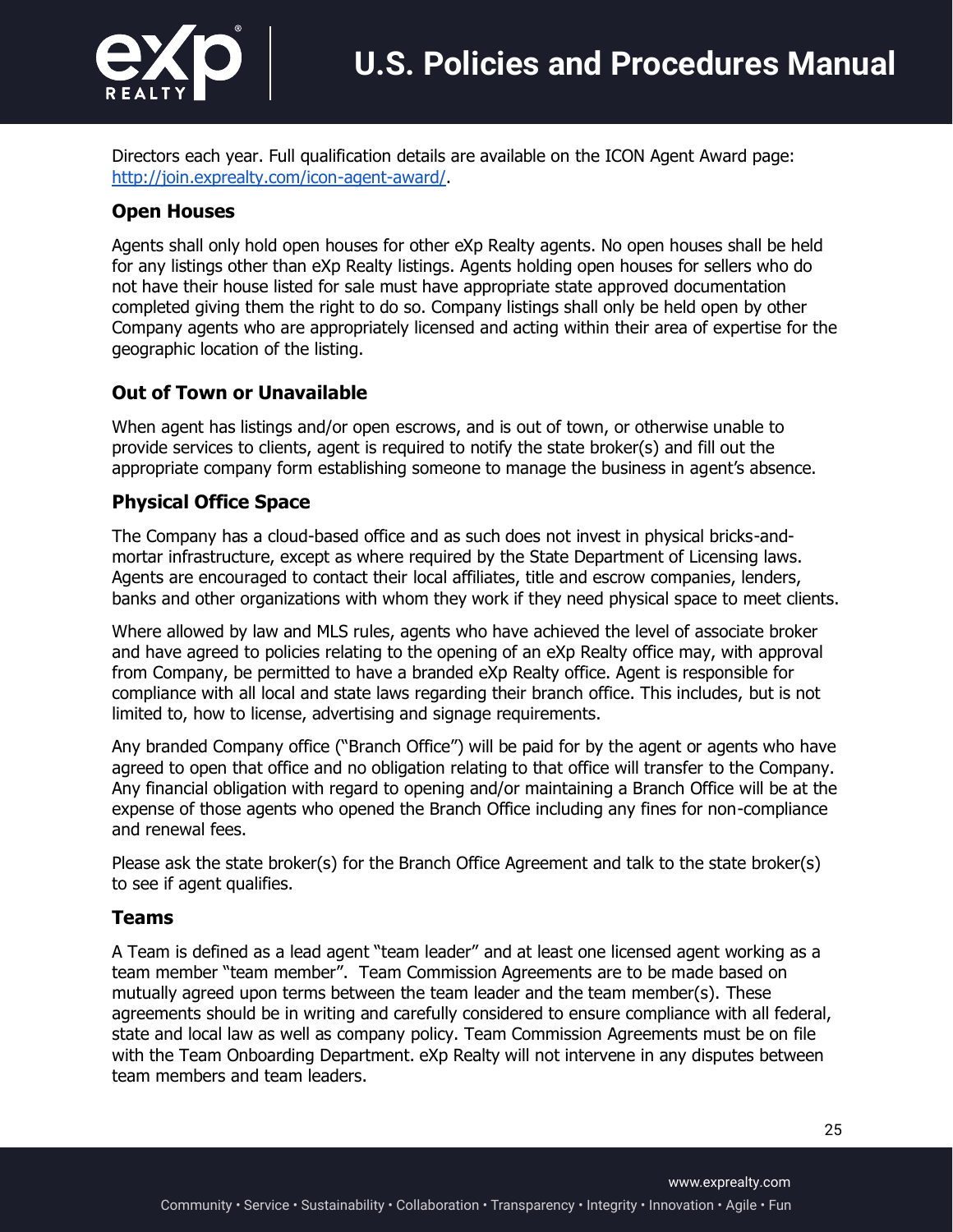

Directors each year. Full qualification details are available on the ICON Agent Award page: http://join.exprealty.com/icon-agent-award/.

### **Open Houses**

Agents shall only hold open houses for other eXp Realty agents. No open houses shall be held for any listings other than eXp Realty listings. Agents holding open houses for sellers who do not have their house listed for sale must have appropriate state approved documentation completed giving them the right to do so. Company listings shall only be held open by other Company agents who are appropriately licensed and acting within their area of expertise for the geographic location of the listing.

### **Out of Town or Unavailable**

When agent has listings and/or open escrows, and is out of town, or otherwise unable to provide services to clients, agent is required to notify the state broker(s) and fill out the appropriate company form establishing someone to manage the business in agent's absence.

### **Physical Office Space**

The Company has a cloud-based office and as such does not invest in physical bricks-andmortar infrastructure, except as where required by the State Department of Licensing laws. Agents are encouraged to contact their local affiliates, title and escrow companies, lenders, banks and other organizations with whom they work if they need physical space to meet clients.

Where allowed by law and MLS rules, agents who have achieved the level of associate broker and have agreed to policies relating to the opening of an eXp Realty office may, with approval from Company, be permitted to have a branded eXp Realty office. Agent is responsible for compliance with all local and state laws regarding their branch office. This includes, but is not limited to, how to license, advertising and signage requirements.

Any branded Company office ("Branch Office") will be paid for by the agent or agents who have agreed to open that office and no obligation relating to that office will transfer to the Company. Any financial obligation with regard to opening and/or maintaining a Branch Office will be at the expense of those agents who opened the Branch Office including any fines for non-compliance and renewal fees.

Please ask the state broker(s) for the Branch Office Agreement and talk to the state broker(s) to see if agent qualifies.

#### **Teams**

A Team is defined as a lead agent "team leader" and at least one licensed agent working as a team member "team member". Team Commission Agreements are to be made based on mutually agreed upon terms between the team leader and the team member(s). These agreements should be in writing and carefully considered to ensure compliance with all federal, state and local law as well as company policy. Team Commission Agreements must be on file with the Team Onboarding Department. eXp Realty will not intervene in any disputes between team members and team leaders.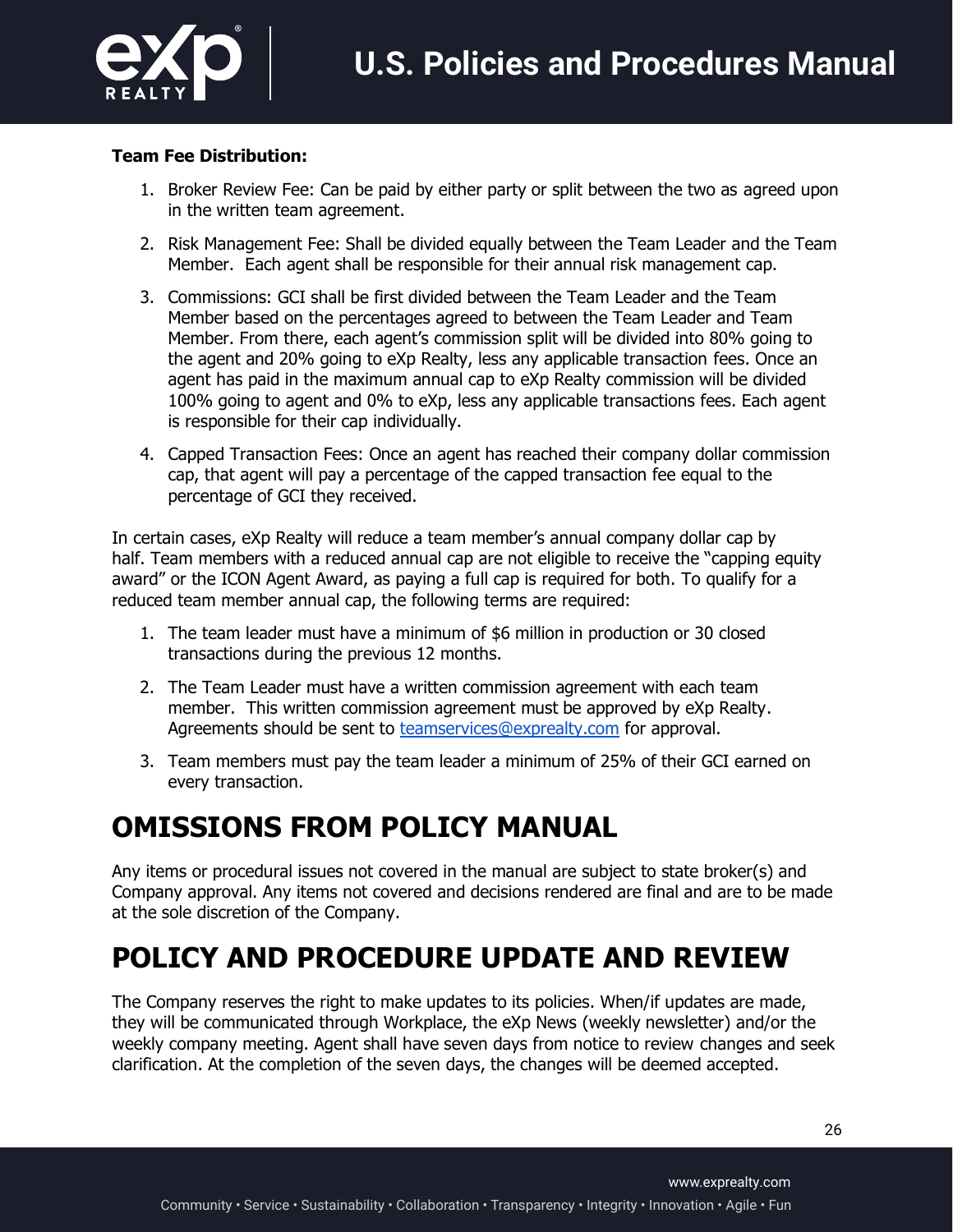

#### **Team Fee Distribution:**

- 1. Broker Review Fee: Can be paid by either party or split between the two as agreed upon in the written team agreement.
- 2. Risk Management Fee: Shall be divided equally between the Team Leader and the Team Member. Each agent shall be responsible for their annual risk management cap.
- 3. Commissions: GCI shall be first divided between the Team Leader and the Team Member based on the percentages agreed to between the Team Leader and Team Member. From there, each agent's commission split will be divided into 80% going to the agent and 20% going to eXp Realty, less any applicable transaction fees. Once an agent has paid in the maximum annual cap to eXp Realty commission will be divided 100% going to agent and 0% to eXp, less any applicable transactions fees. Each agent is responsible for their cap individually.
- 4. Capped Transaction Fees: Once an agent has reached their company dollar commission cap, that agent will pay a percentage of the capped transaction fee equal to the percentage of GCI they received.

In certain cases, eXp Realty will reduce a team member's annual company dollar cap by half. Team members with a reduced annual cap are not eligible to receive the "capping equity award" or the ICON Agent Award, as paying a full cap is required for both. To qualify for a reduced team member annual cap, the following terms are required:

- 1. The team leader must have a minimum of \$6 million in production or 30 closed transactions during the previous 12 months.
- 2. The Team Leader must have a written commission agreement with each team member. This written commission agreement must be approved by eXp Realty. Agreements should be sent to **teamservices@exprealty.com** for approval.
- 3. Team members must pay the team leader a minimum of 25% of their GCI earned on every transaction.

# **OMISSIONS FROM POLICY MANUAL**

Any items or procedural issues not covered in the manual are subject to state broker(s) and Company approval. Any items not covered and decisions rendered are final and are to be made at the sole discretion of the Company.

# **POLICY AND PROCEDURE UPDATE AND REVIEW**

The Company reserves the right to make updates to its policies. When/if updates are made, they will be communicated through Workplace, the eXp News (weekly newsletter) and/or the weekly company meeting. Agent shall have seven days from notice to review changes and seek clarification. At the completion of the seven days, the changes will be deemed accepted.